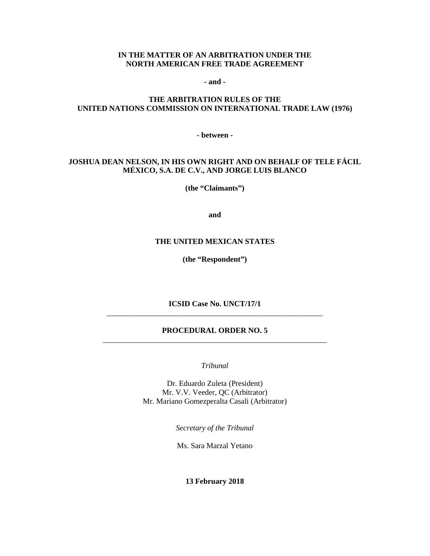#### **IN THE MATTER OF AN ARBITRATION UNDER THE NORTH AMERICAN FREE TRADE AGREEMENT**

**- and -**

#### **THE ARBITRATION RULES OF THE UNITED NATIONS COMMISSION ON INTERNATIONAL TRADE LAW (1976)**

**- between -**

#### **JOSHUA DEAN NELSON, IN HIS OWN RIGHT AND ON BEHALF OF TELE FÁCIL MÉXICO, S.A. DE C.V., AND JORGE LUIS BLANCO**

**(the "Claimants")**

**and**

#### **THE UNITED MEXICAN STATES**

**(the "Respondent")**

**ICSID Case No. UNCT/17/1** \_\_\_\_\_\_\_\_\_\_\_\_\_\_\_\_\_\_\_\_\_\_\_\_\_\_\_\_\_\_\_\_\_\_\_\_\_\_\_\_\_\_\_\_\_\_\_\_\_\_\_\_\_\_\_\_

#### **PROCEDURAL ORDER NO. 5** \_\_\_\_\_\_\_\_\_\_\_\_\_\_\_\_\_\_\_\_\_\_\_\_\_\_\_\_\_\_\_\_\_\_\_\_\_\_\_\_\_\_\_\_\_\_\_\_\_\_\_\_\_\_\_\_\_\_

*Tribunal*

Dr. Eduardo Zuleta (President) Mr. V.V. Veeder, QC (Arbitrator) Mr. Mariano Gomezperalta Casali (Arbitrator)

*Secretary of the Tribunal*

Ms. Sara Marzal Yetano

**13 February 2018**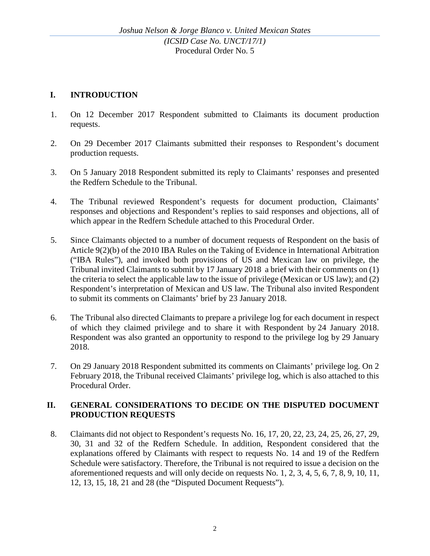# **I. INTRODUCTION**

- 1. On 12 December 2017 Respondent submitted to Claimants its document production requests.
- 2. On 29 December 2017 Claimants submitted their responses to Respondent's document production requests.
- 3. On 5 January 2018 Respondent submitted its reply to Claimants' responses and presented the Redfern Schedule to the Tribunal.
- 4. The Tribunal reviewed Respondent's requests for document production, Claimants' responses and objections and Respondent's replies to said responses and objections, all of which appear in the Redfern Schedule attached to this Procedural Order.
- 5. Since Claimants objected to a number of document requests of Respondent on the basis of Article 9(2)(b) of the 2010 IBA Rules on the Taking of Evidence in International Arbitration ("IBA Rules"), and invoked both provisions of US and Mexican law on privilege, the Tribunal invited Claimants to submit by 17 January 2018 a brief with their comments on (1) the criteria to select the applicable law to the issue of privilege (Mexican or US law); and (2) Respondent's interpretation of Mexican and US law. The Tribunal also invited Respondent to submit its comments on Claimants' brief by 23 January 2018.
- 6. The Tribunal also directed Claimants to prepare a privilege log for each document in respect of which they claimed privilege and to share it with Respondent by 24 January 2018. Respondent was also granted an opportunity to respond to the privilege log by 29 January 2018.
- 7. On 29 January 2018 Respondent submitted its comments on Claimants' privilege log. On 2 February 2018, the Tribunal received Claimants' privilege log, which is also attached to this Procedural Order.

### **II. GENERAL CONSIDERATIONS TO DECIDE ON THE DISPUTED DOCUMENT PRODUCTION REQUESTS**

8. Claimants did not object to Respondent's requests No. 16, 17, 20, 22, 23, 24, 25, 26, 27, 29, 30, 31 and 32 of the Redfern Schedule. In addition, Respondent considered that the explanations offered by Claimants with respect to requests No. 14 and 19 of the Redfern Schedule were satisfactory. Therefore, the Tribunal is not required to issue a decision on the aforementioned requests and will only decide on requests No. 1, 2, 3, 4, 5, 6, 7, 8, 9, 10, 11, 12, 13, 15, 18, 21 and 28 (the "Disputed Document Requests").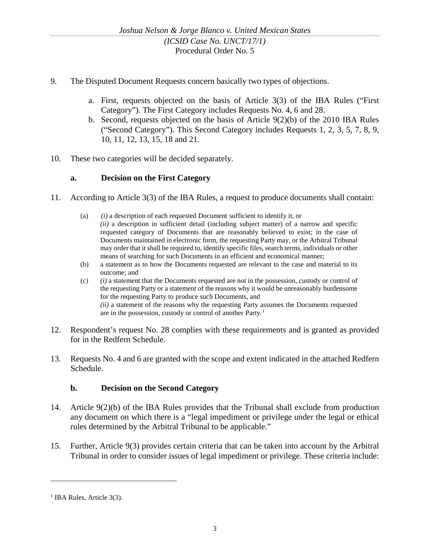- 9. The Disputed Document Requests concern basically two types of objections.
	- a. First, requests objected on the basis of Article 3(3) of the IBA Rules ("First Category"). The First Category includes Requests No. 4, 6 and 28.
	- b. Second, requests objected on the basis of Article 9(2)(b) of the 2010 IBA Rules ("Second Category"). This Second Category includes Requests 1, 2, 3, 5, 7, 8, 9, 10, 11, 12, 13, 15, 18 and 21.
- 10. These two categories will be decided separately.

#### **a. Decision on the First Category**

- 11. According to Article 3(3) of the IBA Rules, a request to produce documents shall contain:
	- (a) *(i)* a description of each requested Document sufficient to identify it, or *(ii)* a description in sufficient detail (including subject matter) of a narrow and specific requested category of Documents that are reasonably believed to exist; in the case of Documents maintained in electronic form, the requesting Party may, or the Arbitral Tribunal may order that it shall be required to, identify specific files, search terms, individuals or other means of searching for such Documents in an efficient and economical manner;
	- (b) a statement as to how the Documents requested are relevant to the case and material to its outcome; and
	- (c) *(i)* a statement that the Documents requested are not in the possession, custody or control of the requesting Party or a statement of the reasons why it would be unreasonably burdensome for the requesting Party to produce such Documents, and *(ii)* a statement of the reasons why the requesting Party assumes the Documents requested are in the possession, custody or control of another Party.[1](#page-2-0)
- 12. Respondent's request No. 28 complies with these requirements and is granted as provided for in the Redfern Schedule.
- 13. Requests No. 4 and 6 are granted with the scope and extent indicated in the attached Redfern Schedule.

### **b. Decision on the Second Category**

- 14. Article 9(2)(b) of the IBA Rules provides that the Tribunal shall exclude from production any document on which there is a "legal impediment or privilege under the legal or ethical rules determined by the Arbitral Tribunal to be applicable."
- 15. Further, Article 9(3) provides certain criteria that can be taken into account by the Arbitral Tribunal in order to consider issues of legal impediment or privilege. These criteria include:

<span id="page-2-0"></span><sup>&</sup>lt;sup>1</sup> IBA Rules, Article 3(3).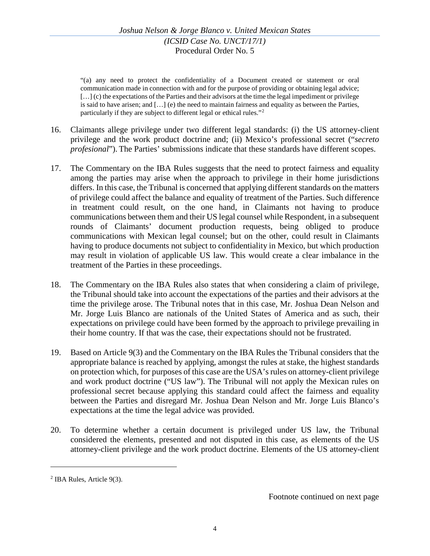"(a) any need to protect the confidentiality of a Document created or statement or oral communication made in connection with and for the purpose of providing or obtaining legal advice; [...] (c) the expectations of the Parties and their advisors at the time the legal impediment or privilege is said to have arisen; and […] (e) the need to maintain fairness and equality as between the Parties, particularly if they are subject to different legal or ethical rules."[2](#page-3-0)

- 16. Claimants allege privilege under two different legal standards: (i) the US attorney-client privilege and the work product doctrine and; (ii) Mexico's professional secret ("*secreto profesional*"). The Parties' submissions indicate that these standards have different scopes.
- 17. The Commentary on the IBA Rules suggests that the need to protect fairness and equality among the parties may arise when the approach to privilege in their home jurisdictions differs. In this case, the Tribunal is concerned that applying different standards on the matters of privilege could affect the balance and equality of treatment of the Parties. Such difference in treatment could result, on the one hand, in Claimants not having to produce communications between them and their US legal counsel while Respondent, in a subsequent rounds of Claimants' document production requests, being obliged to produce communications with Mexican legal counsel; but on the other, could result in Claimants having to produce documents not subject to confidentiality in Mexico, but which production may result in violation of applicable US law. This would create a clear imbalance in the treatment of the Parties in these proceedings.
- 18. The Commentary on the IBA Rules also states that when considering a claim of privilege, the Tribunal should take into account the expectations of the parties and their advisors at the time the privilege arose. The Tribunal notes that in this case, Mr. Joshua Dean Nelson and Mr. Jorge Luis Blanco are nationals of the United States of America and as such, their expectations on privilege could have been formed by the approach to privilege prevailing in their home country. If that was the case, their expectations should not be frustrated.
- 19. Based on Article 9(3) and the Commentary on the IBA Rules the Tribunal considers that the appropriate balance is reached by applying, amongst the rules at stake, the highest standards on protection which, for purposes of this case are the USA'srules on attorney-client privilege and work product doctrine ("US law"). The Tribunal will not apply the Mexican rules on professional secret because applying this standard could affect the fairness and equality between the Parties and disregard Mr. Joshua Dean Nelson and Mr. Jorge Luis Blanco's expectations at the time the legal advice was provided.
- 20. To determine whether a certain document is privileged under US law, the Tribunal considered the elements, presented and not disputed in this case, as elements of the US attorney-client privilege and the work product doctrine. Elements of the US attorney-client

 $\overline{a}$ 

Footnote continued on next page

<span id="page-3-0"></span><sup>2</sup> IBA Rules, Article 9(3).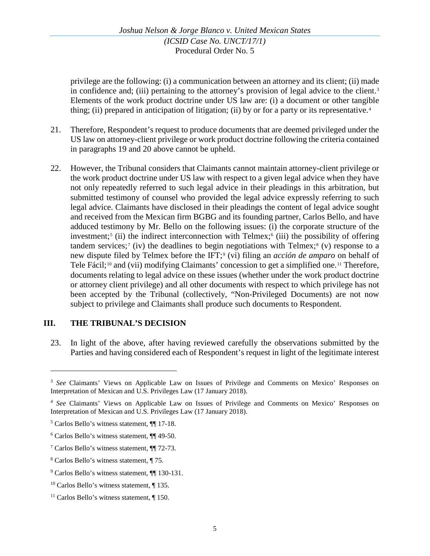privilege are the following: (i) a communication between an attorney and its client; (ii) made in confidence and; (iii) pertaining to the attorney's provision of legal advice to the client.<sup>[3](#page-4-0)</sup> Elements of the work product doctrine under US law are: (i) a document or other tangible thing; (ii) prepared in anticipation of litigation; (ii) by or for a party or its representative.<sup>[4](#page-4-1)</sup>

- 21. Therefore, Respondent's request to produce documents that are deemed privileged under the US law on attorney-client privilege or work product doctrine following the criteria contained in paragraphs 19 and 20 above cannot be upheld.
- 22. However, the Tribunal considers that Claimants cannot maintain attorney-client privilege or the work product doctrine under US law with respect to a given legal advice when they have not only repeatedly referred to such legal advice in their pleadings in this arbitration, but submitted testimony of counsel who provided the legal advice expressly referring to such legal advice. Claimants have disclosed in their pleadings the content of legal advice sought and received from the Mexican firm BGBG and its founding partner, Carlos Bello, and have adduced testimony by Mr. Bello on the following issues: (i) the corporate structure of the investment;<sup>[5](#page-4-2)</sup> (ii) the indirect interconnection with Telmex;<sup>[6](#page-4-3)</sup> (iii) the possibility of offering tandem services;<sup>[7](#page-4-4)</sup> (iv) the deadlines to begin negotiations with Telmex;<sup>8</sup> (v) response to a new dispute filed by Telmex before the IFT;[9](#page-4-6) (vi) filing an *acción de amparo* on behalf of Tele Fácil;<sup>[10](#page-4-7)</sup> and (vii) modifying Claimants' concession to get a simplified one.<sup>[11](#page-4-8)</sup> Therefore, documents relating to legal advice on these issues (whether under the work product doctrine or attorney client privilege) and all other documents with respect to which privilege has not been accepted by the Tribunal (collectively, "Non-Privileged Documents) are not now subject to privilege and Claimants shall produce such documents to Respondent.

### **III. THE TRIBUNAL'S DECISION**

23. In light of the above, after having reviewed carefully the observations submitted by the Parties and having considered each of Respondent's request in light of the legitimate interest

<span id="page-4-0"></span><sup>3</sup> *See* Claimants' Views on Applicable Law on Issues of Privilege and Comments on Mexico' Responses on Interpretation of Mexican and U.S. Privileges Law (17 January 2018).

<span id="page-4-1"></span><sup>4</sup> *See* Claimants' Views on Applicable Law on Issues of Privilege and Comments on Mexico' Responses on Interpretation of Mexican and U.S. Privileges Law (17 January 2018).

<span id="page-4-2"></span><sup>5</sup> Carlos Bello's witness statement, ¶¶ 17-18.

<span id="page-4-3"></span><sup>6</sup> Carlos Bello's witness statement, ¶¶ 49-50.

<span id="page-4-4"></span><sup>7</sup> Carlos Bello's witness statement, ¶¶ 72-73.

<span id="page-4-5"></span><sup>8</sup> Carlos Bello's witness statement, ¶ 75.

<span id="page-4-6"></span><sup>9</sup> Carlos Bello's witness statement, ¶¶ 130-131.

<span id="page-4-7"></span><sup>&</sup>lt;sup>10</sup> Carlos Bello's witness statement, ¶ 135.

<span id="page-4-8"></span><sup>&</sup>lt;sup>11</sup> Carlos Bello's witness statement, ¶ 150.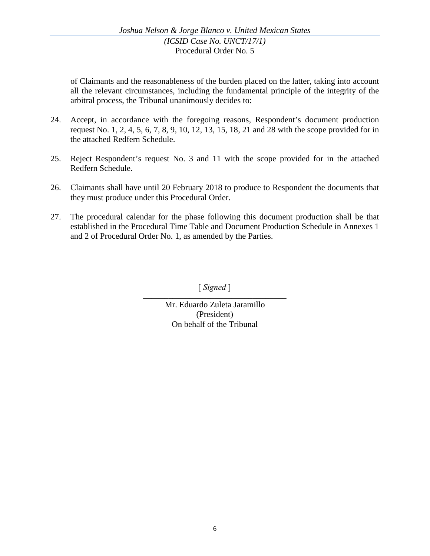of Claimants and the reasonableness of the burden placed on the latter, taking into account all the relevant circumstances, including the fundamental principle of the integrity of the arbitral process, the Tribunal unanimously decides to:

- 24. Accept, in accordance with the foregoing reasons, Respondent's document production request No. 1, 2, 4, 5, 6, 7, 8, 9, 10, 12, 13, 15, 18, 21 and 28 with the scope provided for in the attached Redfern Schedule.
- 25. Reject Respondent's request No. 3 and 11 with the scope provided for in the attached Redfern Schedule.
- 26. Claimants shall have until 20 February 2018 to produce to Respondent the documents that they must produce under this Procedural Order.
- 27. The procedural calendar for the phase following this document production shall be that established in the Procedural Time Table and Document Production Schedule in Annexes 1 and 2 of Procedural Order No. 1, as amended by the Parties.

\_\_\_\_\_\_\_\_\_\_\_\_\_\_\_\_\_\_\_\_\_\_\_\_\_\_\_\_\_\_\_\_\_\_ [ *Signed* ]

Mr. Eduardo Zuleta Jaramillo (President) On behalf of the Tribunal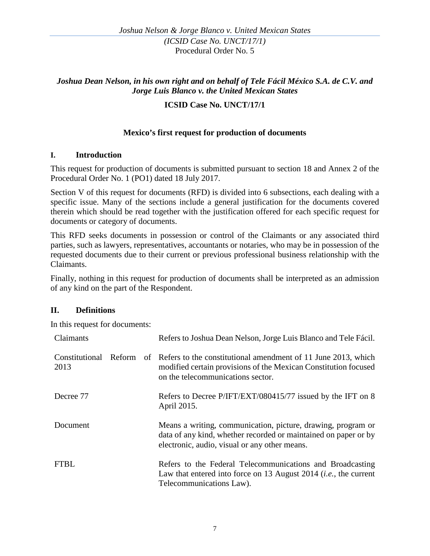# *Joshua Dean Nelson, in his own right and on behalf of Tele Fácil México S.A. de C.V. and Jorge Luis Blanco v. the United Mexican States*

### **ICSID Case No. UNCT/17/1**

### **Mexico's first request for production of documents**

#### **I. Introduction**

This request for production of documents is submitted pursuant to section 18 and Annex 2 of the Procedural Order No. 1 (PO1) dated 18 July 2017.

Section V of this request for documents (RFD) is divided into 6 subsections, each dealing with a specific issue. Many of the sections include a general justification for the documents covered therein which should be read together with the justification offered for each specific request for documents or category of documents.

This RFD seeks documents in possession or control of the Claimants or any associated third parties, such as lawyers, representatives, accountants or notaries, who may be in possession of the requested documents due to their current or previous professional business relationship with the Claimants.

Finally, nothing in this request for production of documents shall be interpreted as an admission of any kind on the part of the Respondent.

### **II. Definitions**

In this request for documents:

| Claimants              |               | Refers to Joshua Dean Nelson, Jorge Luis Blanco and Tele Fácil.                                                                                                                  |
|------------------------|---------------|----------------------------------------------------------------------------------------------------------------------------------------------------------------------------------|
| Constitutional<br>2013 | <b>Reform</b> | of Refers to the constitutional amendment of 11 June 2013, which<br>modified certain provisions of the Mexican Constitution focused<br>on the telecommunications sector.         |
| Decree 77              |               | Refers to Decree P/IFT/EXT/080415/77 issued by the IFT on 8<br>April 2015.                                                                                                       |
| Document               |               | Means a writing, communication, picture, drawing, program or<br>data of any kind, whether recorded or maintained on paper or by<br>electronic, audio, visual or any other means. |
| <b>FTBL</b>            |               | Refers to the Federal Telecommunications and Broadcasting<br>Law that entered into force on 13 August 2014 <i>(i.e., the current</i><br>Telecommunications Law).                 |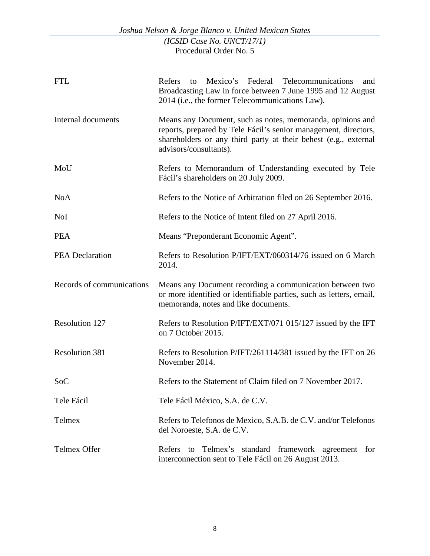|                           | Joshua Nelson & Jorge Blanco v. United Mexican States                                                                                                                                                                      |
|---------------------------|----------------------------------------------------------------------------------------------------------------------------------------------------------------------------------------------------------------------------|
|                           | (ICSID Case No. UNCT/17/1)<br>Procedural Order No. 5                                                                                                                                                                       |
| <b>FTL</b>                | Mexico's Federal<br>Telecommunications<br>Refers<br>to<br>and<br>Broadcasting Law in force between 7 June 1995 and 12 August<br>2014 (i.e., the former Telecommunications Law).                                            |
| Internal documents        | Means any Document, such as notes, memoranda, opinions and<br>reports, prepared by Tele Fácil's senior management, directors,<br>shareholders or any third party at their behest (e.g., external<br>advisors/consultants). |
| MoU                       | Refers to Memorandum of Understanding executed by Tele<br>Fácil's shareholders on 20 July 2009.                                                                                                                            |
| <b>NoA</b>                | Refers to the Notice of Arbitration filed on 26 September 2016.                                                                                                                                                            |
| <b>NoI</b>                | Refers to the Notice of Intent filed on 27 April 2016.                                                                                                                                                                     |
| <b>PEA</b>                | Means "Preponderant Economic Agent".                                                                                                                                                                                       |
| <b>PEA Declaration</b>    | Refers to Resolution P/IFT/EXT/060314/76 issued on 6 March<br>2014.                                                                                                                                                        |
| Records of communications | Means any Document recording a communication between two<br>or more identified or identifiable parties, such as letters, email,<br>memoranda, notes and like documents.                                                    |
| <b>Resolution 127</b>     | Refers to Resolution P/IFT/EXT/071 015/127 issued by the IFT<br>on 7 October 2015.                                                                                                                                         |
| <b>Resolution 381</b>     | Refers to Resolution P/IFT/261114/381 issued by the IFT on 26<br>November 2014.                                                                                                                                            |
| <b>SoC</b>                | Refers to the Statement of Claim filed on 7 November 2017.                                                                                                                                                                 |
| Tele Fácil                | Tele Fácil México, S.A. de C.V.                                                                                                                                                                                            |
| Telmex                    | Refers to Telefonos de Mexico, S.A.B. de C.V. and/or Telefonos<br>del Noroeste, S.A. de C.V.                                                                                                                               |
| <b>Telmex Offer</b>       | Telmex's standard framework agreement for<br>Refers to<br>interconnection sent to Tele Fácil on 26 August 2013.                                                                                                            |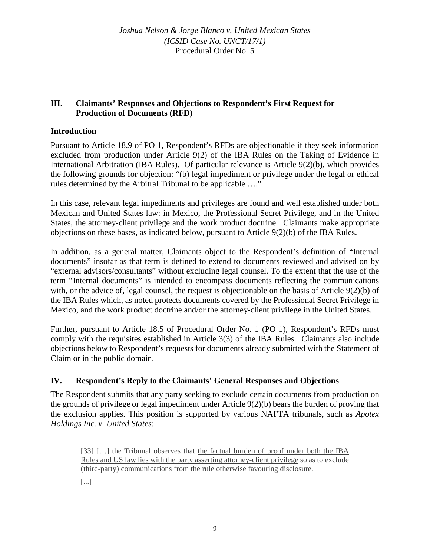### **III. Claimants' Responses and Objections to Respondent's First Request for Production of Documents (RFD)**

# **Introduction**

Pursuant to Article 18.9 of PO 1, Respondent's RFDs are objectionable if they seek information excluded from production under Article 9(2) of the IBA Rules on the Taking of Evidence in International Arbitration (IBA Rules). Of particular relevance is Article 9(2)(b), which provides the following grounds for objection: "(b) legal impediment or privilege under the legal or ethical rules determined by the Arbitral Tribunal to be applicable …."

In this case, relevant legal impediments and privileges are found and well established under both Mexican and United States law: in Mexico, the Professional Secret Privilege, and in the United States, the attorney-client privilege and the work product doctrine. Claimants make appropriate objections on these bases, as indicated below, pursuant to Article 9(2)(b) of the IBA Rules.

In addition, as a general matter, Claimants object to the Respondent's definition of "Internal documents" insofar as that term is defined to extend to documents reviewed and advised on by "external advisors/consultants" without excluding legal counsel. To the extent that the use of the term "Internal documents" is intended to encompass documents reflecting the communications with, or the advice of, legal counsel, the request is objectionable on the basis of Article 9(2)(b) of the IBA Rules which, as noted protects documents covered by the Professional Secret Privilege in Mexico, and the work product doctrine and/or the attorney-client privilege in the United States.

Further, pursuant to Article 18.5 of Procedural Order No. 1 (PO 1), Respondent's RFDs must comply with the requisites established in Article 3(3) of the IBA Rules. Claimants also include objections below to Respondent's requests for documents already submitted with the Statement of Claim or in the public domain.

### **IV. Respondent's Reply to the Claimants' General Responses and Objections**

The Respondent submits that any party seeking to exclude certain documents from production on the grounds of privilege or legal impediment under Article 9(2)(b) bears the burden of proving that the exclusion applies. This position is supported by various NAFTA tribunals, such as *Apotex Holdings Inc. v. United States*:

[33] […] the Tribunal observes that the factual burden of proof under both the IBA Rules and US law lies with the party asserting attorney-client privilege so as to exclude (third-party) communications from the rule otherwise favouring disclosure.

[...]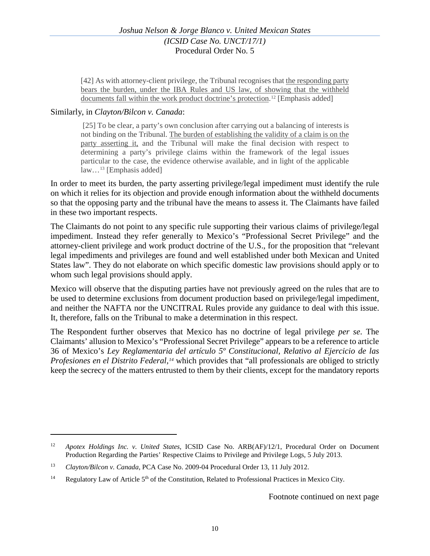[42] As with attorney-client privilege, the Tribunal recognises that the responding party bears the burden, under the IBA Rules and US law, of showing that the withheld documents fall within the work product doctrine's protection. [12](#page-9-0) [Emphasis added]

#### Similarly, in *Clayton/Bilcon v. Canada*:

 $\overline{a}$ 

[25] To be clear, a party's own conclusion after carrying out a balancing of interests is not binding on the Tribunal. The burden of establishing the validity of a claim is on the party asserting it, and the Tribunal will make the final decision with respect to determining a party's privilege claims within the framework of the legal issues particular to the case, the evidence otherwise available, and in light of the applicable law[…13](#page-9-1) [Emphasis added]

In order to meet its burden, the party asserting privilege/legal impediment must identify the rule on which it relies for its objection and provide enough information about the withheld documents so that the opposing party and the tribunal have the means to assess it. The Claimants have failed in these two important respects.

The Claimants do not point to any specific rule supporting their various claims of privilege/legal impediment. Instead they refer generally to Mexico's "Professional Secret Privilege" and the attorney-client privilege and work product doctrine of the U.S., for the proposition that "relevant legal impediments and privileges are found and well established under both Mexican and United States law". They do not elaborate on which specific domestic law provisions should apply or to whom such legal provisions should apply.

Mexico will observe that the disputing parties have not previously agreed on the rules that are to be used to determine exclusions from document production based on privilege/legal impediment, and neither the NAFTA nor the UNCITRAL Rules provide any guidance to deal with this issue. It, therefore, falls on the Tribunal to make a determination in this respect.

The Respondent further observes that Mexico has no doctrine of legal privilege *per se*. The Claimants' allusion to Mexico's "Professional Secret Privilege" appears to be a reference to article 36 of Mexico's *Ley Reglamentaria del artículo 5º Constitucional, Relativo al Ejercicio de las Profesiones en el Distrito Federal,[14](#page-9-2)* which provides that "all professionals are obliged to strictly keep the secrecy of the matters entrusted to them by their clients, except for the mandatory reports

<span id="page-9-0"></span><sup>12</sup> *Apotex Holdings Inc. v. United States*, ICSID Case No. ARB(AF)/12/1, Procedural Order on Document Production Regarding the Parties' Respective Claims to Privilege and Privilege Logs, 5 July 2013.

<span id="page-9-1"></span><sup>13</sup> *Clayton/Bilcon v. Canada*, PCA Case No. 2009-04 Procedural Order 13, 11 July 2012.

<span id="page-9-2"></span><sup>&</sup>lt;sup>14</sup> Regulatory Law of Article 5<sup>th</sup> of the Constitution, Related to Professional Practices in Mexico City.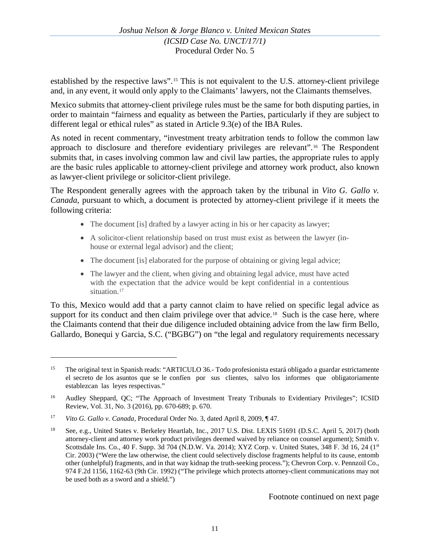established by the respective laws".[15](#page-10-0) This is not equivalent to the U.S. attorney-client privilege and, in any event, it would only apply to the Claimants' lawyers, not the Claimants themselves.

Mexico submits that attorney-client privilege rules must be the same for both disputing parties, in order to maintain "fairness and equality as between the Parties, particularly if they are subject to different legal or ethical rules" as stated in Article 9.3(e) of the IBA Rules.

As noted in recent commentary, "investment treaty arbitration tends to follow the common law approach to disclosure and therefore evidentiary privileges are relevant".[16](#page-10-1) The Respondent submits that, in cases involving common law and civil law parties, the appropriate rules to apply are the basic rules applicable to attorney-client privilege and attorney work product, also known as lawyer-client privilege or solicitor-client privilege.

The Respondent generally agrees with the approach taken by the tribunal in *Vito G. Gallo v. Canada*, pursuant to which, a document is protected by attorney-client privilege if it meets the following criteria:

- The document [is] drafted by a lawyer acting in his or her capacity as lawyer;
- A solicitor-client relationship based on trust must exist as between the lawyer (inhouse or external legal advisor) and the client;
- The document [is] elaborated for the purpose of obtaining or giving legal advice;
- The lawyer and the client, when giving and obtaining legal advice, must have acted with the expectation that the advice would be kept confidential in a contentious situation.<sup>[17](#page-10-2)</sup>

To this, Mexico would add that a party cannot claim to have relied on specific legal advice as support for its conduct and then claim privilege over that advice.<sup>18</sup> Such is the case here, where the Claimants contend that their due diligence included obtaining advice from the law firm Bello, Gallardo, Bonequi y Garcia, S.C. ("BGBG") on "the legal and regulatory requirements necessary

<span id="page-10-0"></span><sup>&</sup>lt;sup>15</sup> The original text in Spanish reads: "ARTICULO 36.- Todo profesionista estará obligado a guardar estrictamente el secreto de los asuntos que se le confíen por sus clientes, salvo los informes que obligatoriamente establezcan las leyes respectivas."

<span id="page-10-1"></span><sup>&</sup>lt;sup>16</sup> Audley Sheppard, QC; "The Approach of Investment Treaty Tribunals to Evidentiary Privileges"; ICSID Review, Vol. 31, No. 3 (2016), pp. 670-689; p. 670.

<span id="page-10-2"></span><sup>17</sup> *Vito G. Gallo v. Canada*, Procedural Order No. 3, dated April 8, 2009, ¶ 47.

<span id="page-10-3"></span><sup>18</sup> See, e.g., United States v. Berkeley Heartlab, Inc., 2017 U.S. Dist. LEXIS 51691 (D.S.C. April 5, 2017) (both attorney-client and attorney work product privileges deemed waived by reliance on counsel argument); Smith v. Scottsdale Ins. Co., 40 F. Supp. 3d 704 (N.D.W. Va. 2014); XYZ Corp. v. United States, 348 F. 3d 16, 24 (1<sup>st</sup> Cir. 2003) ("Were the law otherwise, the client could selectively disclose fragments helpful to its cause, entomb other (unhelpful) fragments, and in that way kidnap the truth-seeking process."); Chevron Corp. v. Pennzoil Co., 974 F.2d 1156, 1162-63 (9th Cir. 1992) ("The privilege which protects attorney-client communications may not be used both as a sword and a shield.")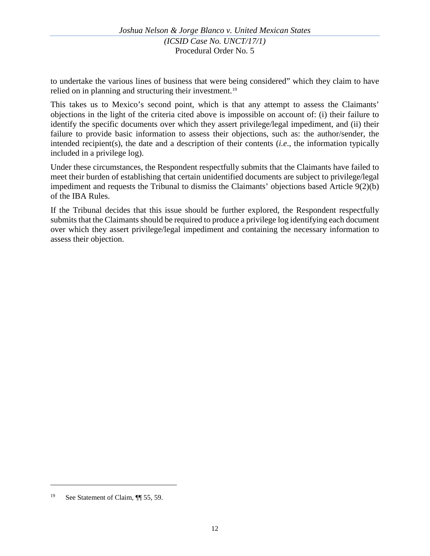to undertake the various lines of business that were being considered" which they claim to have relied on in planning and structuring their investment.<sup>[19](#page-11-0)</sup>

This takes us to Mexico's second point, which is that any attempt to assess the Claimants' objections in the light of the criteria cited above is impossible on account of: (i) their failure to identify the specific documents over which they assert privilege/legal impediment, and (ii) their failure to provide basic information to assess their objections, such as: the author/sender, the intended recipient(s), the date and a description of their contents (*i.e*., the information typically included in a privilege log).

Under these circumstances, the Respondent respectfully submits that the Claimants have failed to meet their burden of establishing that certain unidentified documents are subject to privilege/legal impediment and requests the Tribunal to dismiss the Claimants' objections based Article 9(2)(b) of the IBA Rules.

If the Tribunal decides that this issue should be further explored, the Respondent respectfully submits that the Claimants should be required to produce a privilege log identifying each document over which they assert privilege/legal impediment and containing the necessary information to assess their objection.

<span id="page-11-0"></span><sup>&</sup>lt;sup>19</sup> See Statement of Claim, ¶ 55, 59.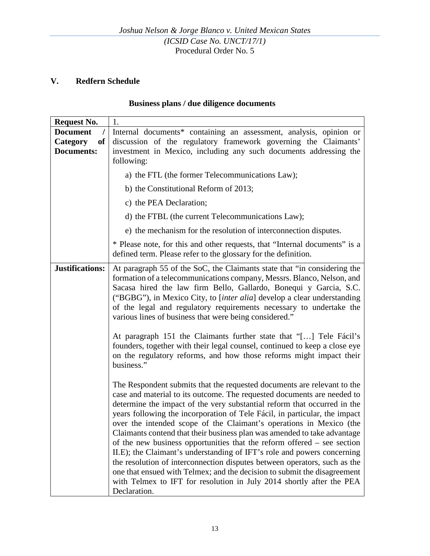# **V. Redfern Schedule**

## **Business plans / due diligence documents**

| <b>Request No.</b>                                                 | 1.                                                                                                                                                                                                                                                                                                                                                                                                                                                                                                                                                                                                                                                                                                                                                                                                                                                                       |
|--------------------------------------------------------------------|--------------------------------------------------------------------------------------------------------------------------------------------------------------------------------------------------------------------------------------------------------------------------------------------------------------------------------------------------------------------------------------------------------------------------------------------------------------------------------------------------------------------------------------------------------------------------------------------------------------------------------------------------------------------------------------------------------------------------------------------------------------------------------------------------------------------------------------------------------------------------|
| <b>Document</b><br>$\prime$<br>Category<br>of<br><b>Documents:</b> | Internal documents* containing an assessment, analysis, opinion or<br>discussion of the regulatory framework governing the Claimants'<br>investment in Mexico, including any such documents addressing the<br>following:                                                                                                                                                                                                                                                                                                                                                                                                                                                                                                                                                                                                                                                 |
|                                                                    | a) the FTL (the former Telecommunications Law);                                                                                                                                                                                                                                                                                                                                                                                                                                                                                                                                                                                                                                                                                                                                                                                                                          |
|                                                                    | b) the Constitutional Reform of 2013;                                                                                                                                                                                                                                                                                                                                                                                                                                                                                                                                                                                                                                                                                                                                                                                                                                    |
|                                                                    | c) the PEA Declaration;                                                                                                                                                                                                                                                                                                                                                                                                                                                                                                                                                                                                                                                                                                                                                                                                                                                  |
|                                                                    | d) the FTBL (the current Telecommunications Law);                                                                                                                                                                                                                                                                                                                                                                                                                                                                                                                                                                                                                                                                                                                                                                                                                        |
|                                                                    | e) the mechanism for the resolution of interconnection disputes.                                                                                                                                                                                                                                                                                                                                                                                                                                                                                                                                                                                                                                                                                                                                                                                                         |
|                                                                    | * Please note, for this and other requests, that "Internal documents" is a<br>defined term. Please refer to the glossary for the definition.                                                                                                                                                                                                                                                                                                                                                                                                                                                                                                                                                                                                                                                                                                                             |
| <b>Justifications:</b>                                             | At paragraph 55 of the SoC, the Claimants state that "in considering the<br>formation of a telecommunications company, Messrs. Blanco, Nelson, and<br>Sacasa hired the law firm Bello, Gallardo, Bonequi y Garcia, S.C.<br>("BGBG"), in Mexico City, to [inter alia] develop a clear understanding<br>of the legal and regulatory requirements necessary to undertake the<br>various lines of business that were being considered."<br>At paragraph 151 the Claimants further state that "[] Tele Fácil's<br>founders, together with their legal counsel, continued to keep a close eye                                                                                                                                                                                                                                                                                  |
|                                                                    | on the regulatory reforms, and how those reforms might impact their<br>business."                                                                                                                                                                                                                                                                                                                                                                                                                                                                                                                                                                                                                                                                                                                                                                                        |
|                                                                    | The Respondent submits that the requested documents are relevant to the<br>case and material to its outcome. The requested documents are needed to<br>determine the impact of the very substantial reform that occurred in the<br>years following the incorporation of Tele Fácil, in particular, the impact<br>over the intended scope of the Claimant's operations in Mexico (the<br>Claimants contend that their business plan was amended to take advantage<br>of the new business opportunities that the reform offered $-$ see section<br>II.E); the Claimant's understanding of IFT's role and powers concerning<br>the resolution of interconnection disputes between operators, such as the<br>one that ensued with Telmex; and the decision to submit the disagreement<br>with Telmex to IFT for resolution in July 2014 shortly after the PEA<br>Declaration. |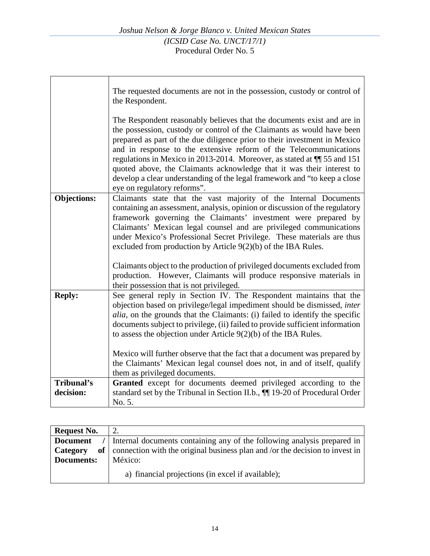| The requested documents are not in the possession, custody or control of<br>the Respondent.                                                                                                                                                                                                                                                                                                                                                                                                                                                                            |
|------------------------------------------------------------------------------------------------------------------------------------------------------------------------------------------------------------------------------------------------------------------------------------------------------------------------------------------------------------------------------------------------------------------------------------------------------------------------------------------------------------------------------------------------------------------------|
| The Respondent reasonably believes that the documents exist and are in<br>the possession, custody or control of the Claimants as would have been<br>prepared as part of the due diligence prior to their investment in Mexico<br>and in response to the extensive reform of the Telecommunications<br>regulations in Mexico in 2013-2014. Moreover, as stated at $\P$ 55 and 151<br>quoted above, the Claimants acknowledge that it was their interest to<br>develop a clear understanding of the legal framework and "to keep a close"<br>eye on regulatory reforms". |
| Claimants state that the vast majority of the Internal Documents                                                                                                                                                                                                                                                                                                                                                                                                                                                                                                       |
| containing an assessment, analysis, opinion or discussion of the regulatory                                                                                                                                                                                                                                                                                                                                                                                                                                                                                            |
| framework governing the Claimants' investment were prepared by                                                                                                                                                                                                                                                                                                                                                                                                                                                                                                         |
| Claimants' Mexican legal counsel and are privileged communications                                                                                                                                                                                                                                                                                                                                                                                                                                                                                                     |
| under Mexico's Professional Secret Privilege. These materials are thus                                                                                                                                                                                                                                                                                                                                                                                                                                                                                                 |
| excluded from production by Article $9(2)(b)$ of the IBA Rules.                                                                                                                                                                                                                                                                                                                                                                                                                                                                                                        |
|                                                                                                                                                                                                                                                                                                                                                                                                                                                                                                                                                                        |
| Claimants object to the production of privileged documents excluded from                                                                                                                                                                                                                                                                                                                                                                                                                                                                                               |
| production. However, Claimants will produce responsive materials in                                                                                                                                                                                                                                                                                                                                                                                                                                                                                                    |
| their possession that is not privileged.                                                                                                                                                                                                                                                                                                                                                                                                                                                                                                                               |
| See general reply in Section IV. The Respondent maintains that the                                                                                                                                                                                                                                                                                                                                                                                                                                                                                                     |
| objection based on privilege/legal impediment should be dismissed, inter                                                                                                                                                                                                                                                                                                                                                                                                                                                                                               |
| <i>alia</i> , on the grounds that the Claimants: (i) failed to identify the specific                                                                                                                                                                                                                                                                                                                                                                                                                                                                                   |
| documents subject to privilege, (ii) failed to provide sufficient information                                                                                                                                                                                                                                                                                                                                                                                                                                                                                          |
| to assess the objection under Article $9(2)(b)$ of the IBA Rules.                                                                                                                                                                                                                                                                                                                                                                                                                                                                                                      |
|                                                                                                                                                                                                                                                                                                                                                                                                                                                                                                                                                                        |
| Mexico will further observe that the fact that a document was prepared by                                                                                                                                                                                                                                                                                                                                                                                                                                                                                              |
| the Claimants' Mexican legal counsel does not, in and of itself, qualify                                                                                                                                                                                                                                                                                                                                                                                                                                                                                               |
| them as privileged documents.                                                                                                                                                                                                                                                                                                                                                                                                                                                                                                                                          |
| Granted except for documents deemed privileged according to the                                                                                                                                                                                                                                                                                                                                                                                                                                                                                                        |
| standard set by the Tribunal in Section II.b., 11 19-20 of Procedural Order                                                                                                                                                                                                                                                                                                                                                                                                                                                                                            |
| No. 5.                                                                                                                                                                                                                                                                                                                                                                                                                                                                                                                                                                 |
|                                                                                                                                                                                                                                                                                                                                                                                                                                                                                                                                                                        |

| <b>Request No.</b> |                                                                              |  |
|--------------------|------------------------------------------------------------------------------|--|
| <b>Document</b>    | Internal documents containing any of the following analysis prepared in      |  |
| of  <br>Category   | connection with the original business plan and /or the decision to invest in |  |
| Documents:         | México:                                                                      |  |
|                    | a) financial projections (in excel if available);                            |  |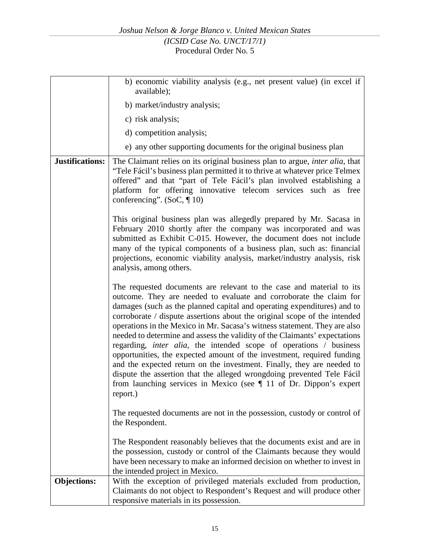|                    | b) economic viability analysis (e.g., net present value) (in excel if<br>available);                                                                                                                                                                                                                                                                                                                                                                                                                                                                                                                                                                                                                                                                                                                                                                           |
|--------------------|----------------------------------------------------------------------------------------------------------------------------------------------------------------------------------------------------------------------------------------------------------------------------------------------------------------------------------------------------------------------------------------------------------------------------------------------------------------------------------------------------------------------------------------------------------------------------------------------------------------------------------------------------------------------------------------------------------------------------------------------------------------------------------------------------------------------------------------------------------------|
|                    | b) market/industry analysis;                                                                                                                                                                                                                                                                                                                                                                                                                                                                                                                                                                                                                                                                                                                                                                                                                                   |
|                    | c) risk analysis;                                                                                                                                                                                                                                                                                                                                                                                                                                                                                                                                                                                                                                                                                                                                                                                                                                              |
|                    | d) competition analysis;                                                                                                                                                                                                                                                                                                                                                                                                                                                                                                                                                                                                                                                                                                                                                                                                                                       |
|                    | e) any other supporting documents for the original business plan                                                                                                                                                                                                                                                                                                                                                                                                                                                                                                                                                                                                                                                                                                                                                                                               |
| Justifications:    | The Claimant relies on its original business plan to argue, <i>inter alia</i> , that<br>"Tele Fácil's business plan permitted it to thrive at whatever price Telmex<br>offered" and that "part of Tele Fácil's plan involved establishing a<br>platform for offering innovative telecom services such as free<br>conferencing". (SoC, $\P$ 10)                                                                                                                                                                                                                                                                                                                                                                                                                                                                                                                 |
|                    | This original business plan was allegedly prepared by Mr. Sacasa in<br>February 2010 shortly after the company was incorporated and was<br>submitted as Exhibit C-015. However, the document does not include<br>many of the typical components of a business plan, such as: financial<br>projections, economic viability analysis, market/industry analysis, risk<br>analysis, among others.                                                                                                                                                                                                                                                                                                                                                                                                                                                                  |
|                    | The requested documents are relevant to the case and material to its<br>outcome. They are needed to evaluate and corroborate the claim for<br>damages (such as the planned capital and operating expenditures) and to<br>corroborate / dispute assertions about the original scope of the intended<br>operations in the Mexico in Mr. Sacasa's witness statement. They are also<br>needed to determine and assess the validity of the Claimants' expectations<br>regarding, <i>inter alia</i> , the intended scope of operations / business<br>opportunities, the expected amount of the investment, required funding<br>and the expected return on the investment. Finally, they are needed to<br>dispute the assertion that the alleged wrongdoing prevented Tele Fácil<br>from launching services in Mexico (see $\P$ 11 of Dr. Dippon's expert<br>report.) |
|                    | The requested documents are not in the possession, custody or control of<br>the Respondent.                                                                                                                                                                                                                                                                                                                                                                                                                                                                                                                                                                                                                                                                                                                                                                    |
|                    | The Respondent reasonably believes that the documents exist and are in<br>the possession, custody or control of the Claimants because they would<br>have been necessary to make an informed decision on whether to invest in<br>the intended project in Mexico.                                                                                                                                                                                                                                                                                                                                                                                                                                                                                                                                                                                                |
| <b>Objections:</b> | With the exception of privileged materials excluded from production,<br>Claimants do not object to Respondent's Request and will produce other<br>responsive materials in its possession.                                                                                                                                                                                                                                                                                                                                                                                                                                                                                                                                                                                                                                                                      |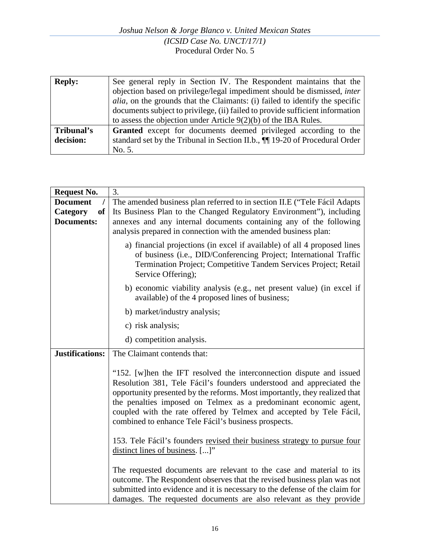| <b>Reply:</b> | See general reply in Section IV. The Respondent maintains that the                   |
|---------------|--------------------------------------------------------------------------------------|
|               | objection based on privilege/legal impediment should be dismissed, inter             |
|               | <i>alia</i> , on the grounds that the Claimants: (i) failed to identify the specific |
|               | documents subject to privilege, (ii) failed to provide sufficient information        |
|               | to assess the objection under Article $9(2)(b)$ of the IBA Rules.                    |
| Tribunal's    | <b>Granted</b> except for documents deemed privileged according to the               |
| decision:     | standard set by the Tribunal in Section II.b., $\P$ 19-20 of Procedural Order        |
|               | No. 5.                                                                               |

| <b>Request No.</b>        | 3.                                                                                                                                                                                                                                                                                                                                                                                                                            |  |  |
|---------------------------|-------------------------------------------------------------------------------------------------------------------------------------------------------------------------------------------------------------------------------------------------------------------------------------------------------------------------------------------------------------------------------------------------------------------------------|--|--|
| <b>Document</b>           | The amended business plan referred to in section II.E ("Tele Fácil Adapts"                                                                                                                                                                                                                                                                                                                                                    |  |  |
| Category<br><sub>of</sub> | Its Business Plan to the Changed Regulatory Environment"), including                                                                                                                                                                                                                                                                                                                                                          |  |  |
| <b>Documents:</b>         | annexes and any internal documents containing any of the following                                                                                                                                                                                                                                                                                                                                                            |  |  |
|                           | analysis prepared in connection with the amended business plan:                                                                                                                                                                                                                                                                                                                                                               |  |  |
|                           | a) financial projections (in excel if available) of all 4 proposed lines<br>of business (i.e., DID/Conferencing Project; International Traffic<br>Termination Project; Competitive Tandem Services Project; Retail<br>Service Offering);                                                                                                                                                                                      |  |  |
|                           | b) economic viability analysis (e.g., net present value) (in excel if<br>available) of the 4 proposed lines of business;                                                                                                                                                                                                                                                                                                      |  |  |
|                           | b) market/industry analysis;                                                                                                                                                                                                                                                                                                                                                                                                  |  |  |
|                           | c) risk analysis;                                                                                                                                                                                                                                                                                                                                                                                                             |  |  |
|                           | d) competition analysis.                                                                                                                                                                                                                                                                                                                                                                                                      |  |  |
| <b>Justifications:</b>    | The Claimant contends that:                                                                                                                                                                                                                                                                                                                                                                                                   |  |  |
|                           | "152. [w]hen the IFT resolved the interconnection dispute and issued<br>Resolution 381, Tele Fácil's founders understood and appreciated the<br>opportunity presented by the reforms. Most importantly, they realized that<br>the penalties imposed on Telmex as a predominant economic agent,<br>coupled with the rate offered by Telmex and accepted by Tele Fácil,<br>combined to enhance Tele Fácil's business prospects. |  |  |
|                           | 153. Tele Fácil's founders revised their business strategy to pursue four<br>distinct lines of business. []"                                                                                                                                                                                                                                                                                                                  |  |  |
|                           | The requested documents are relevant to the case and material to its<br>outcome. The Respondent observes that the revised business plan was not<br>submitted into evidence and it is necessary to the defense of the claim for<br>damages. The requested documents are also relevant as they provide                                                                                                                          |  |  |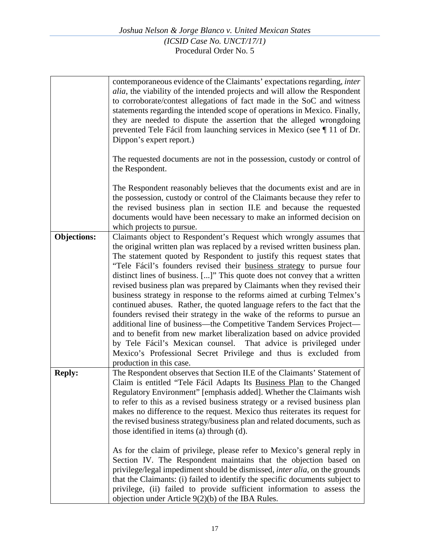|                    | contemporaneous evidence of the Claimants' expectations regarding, <i>inter</i><br><i>alia</i> , the viability of the intended projects and will allow the Respondent<br>to corroborate/contest allegations of fact made in the SoC and witness<br>statements regarding the intended scope of operations in Mexico. Finally,<br>they are needed to dispute the assertion that the alleged wrongdoing<br>prevented Tele Fácil from launching services in Mexico (see ¶ 11 of Dr.<br>Dippon's expert report.)                                                                                                                                                                                                                                                                                                                                                                                                                                                                                                          |
|--------------------|----------------------------------------------------------------------------------------------------------------------------------------------------------------------------------------------------------------------------------------------------------------------------------------------------------------------------------------------------------------------------------------------------------------------------------------------------------------------------------------------------------------------------------------------------------------------------------------------------------------------------------------------------------------------------------------------------------------------------------------------------------------------------------------------------------------------------------------------------------------------------------------------------------------------------------------------------------------------------------------------------------------------|
|                    | The requested documents are not in the possession, custody or control of<br>the Respondent.                                                                                                                                                                                                                                                                                                                                                                                                                                                                                                                                                                                                                                                                                                                                                                                                                                                                                                                          |
|                    | The Respondent reasonably believes that the documents exist and are in<br>the possession, custody or control of the Claimants because they refer to<br>the revised business plan in section II.E and because the requested<br>documents would have been necessary to make an informed decision on<br>which projects to pursue.                                                                                                                                                                                                                                                                                                                                                                                                                                                                                                                                                                                                                                                                                       |
| <b>Objections:</b> | Claimants object to Respondent's Request which wrongly assumes that<br>the original written plan was replaced by a revised written business plan.<br>The statement quoted by Respondent to justify this request states that<br>"Tele Fácil's founders revised their business strategy to pursue four<br>distinct lines of business. []" This quote does not convey that a written<br>revised business plan was prepared by Claimants when they revised their<br>business strategy in response to the reforms aimed at curbing Telmex's<br>continued abuses. Rather, the quoted language refers to the fact that the<br>founders revised their strategy in the wake of the reforms to pursue an<br>additional line of business—the Competitive Tandem Services Project—<br>and to benefit from new market liberalization based on advice provided<br>by Tele Fácil's Mexican counsel. That advice is privileged under<br>Mexico's Professional Secret Privilege and thus is excluded from<br>production in this case. |
| <b>Reply:</b>      | The Respondent observes that Section II.E of the Claimants' Statement of<br>Claim is entitled "Tele Fácil Adapts Its Business Plan to the Changed<br>Regulatory Environment" [emphasis added]. Whether the Claimants wish<br>to refer to this as a revised business strategy or a revised business plan<br>makes no difference to the request. Mexico thus reiterates its request for<br>the revised business strategy/business plan and related documents, such as<br>those identified in items (a) through (d).                                                                                                                                                                                                                                                                                                                                                                                                                                                                                                    |
|                    | As for the claim of privilege, please refer to Mexico's general reply in<br>Section IV. The Respondent maintains that the objection based on<br>privilege/legal impediment should be dismissed, <i>inter alia</i> , on the grounds<br>that the Claimants: (i) failed to identify the specific documents subject to<br>privilege, (ii) failed to provide sufficient information to assess the<br>objection under Article $9(2)(b)$ of the IBA Rules.                                                                                                                                                                                                                                                                                                                                                                                                                                                                                                                                                                  |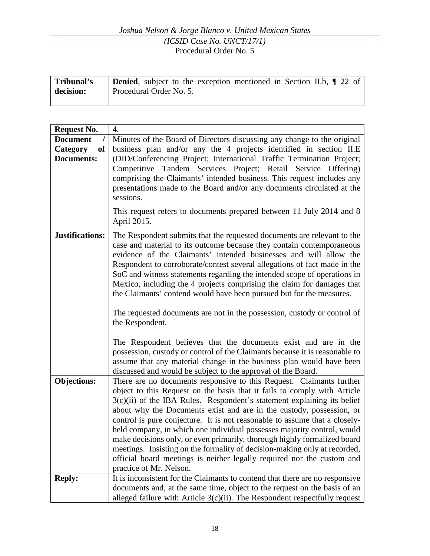### *Joshua Nelson & Jorge Blanco v. United Mexican States (ICSID Case No. UNCT/17/1)* Procedural Order No. 5

| Tribunal's | <b>Denied</b> , subject to the exception mentioned in Section II.b, 1 22 of |
|------------|-----------------------------------------------------------------------------|
| decision:  | Procedural Order No. 5.                                                     |
|            |                                                                             |

| <b>Request No.</b>                                     | $\overline{4}$ .                                                                                                                                                                                                                                                                                                                                                                                                                                                                                                                                                                                                                                                                                                           |
|--------------------------------------------------------|----------------------------------------------------------------------------------------------------------------------------------------------------------------------------------------------------------------------------------------------------------------------------------------------------------------------------------------------------------------------------------------------------------------------------------------------------------------------------------------------------------------------------------------------------------------------------------------------------------------------------------------------------------------------------------------------------------------------------|
| <b>Document</b><br>Category<br>of<br><b>Documents:</b> | Minutes of the Board of Directors discussing any change to the original<br>business plan and/or any the 4 projects identified in section II.E<br>(DID/Conferencing Project; International Traffic Termination Project;<br>Competitive Tandem Services Project; Retail Service Offering)<br>comprising the Claimants' intended business. This request includes any<br>presentations made to the Board and/or any documents circulated at the<br>sessions.<br>This request refers to documents prepared between 11 July 2014 and 8                                                                                                                                                                                           |
|                                                        | April 2015.                                                                                                                                                                                                                                                                                                                                                                                                                                                                                                                                                                                                                                                                                                                |
| <b>Justifications:</b>                                 | The Respondent submits that the requested documents are relevant to the<br>case and material to its outcome because they contain contemporaneous<br>evidence of the Claimants' intended businesses and will allow the<br>Respondent to corroborate/contest several allegations of fact made in the<br>SoC and witness statements regarding the intended scope of operations in<br>Mexico, including the 4 projects comprising the claim for damages that<br>the Claimants' contend would have been pursued but for the measures.<br>The requested documents are not in the possession, custody or control of<br>the Respondent.                                                                                            |
|                                                        | The Respondent believes that the documents exist and are in the<br>possession, custody or control of the Claimants because it is reasonable to<br>assume that any material change in the business plan would have been<br>discussed and would be subject to the approval of the Board.                                                                                                                                                                                                                                                                                                                                                                                                                                     |
| <b>Objections:</b>                                     | There are no documents responsive to this Request. Claimants further<br>object to this Request on the basis that it fails to comply with Article<br>3(c)(ii) of the IBA Rules. Respondent's statement explaining its belief<br>about why the Documents exist and are in the custody, possession, or<br>control is pure conjecture. It is not reasonable to assume that a closely-<br>held company, in which one individual possesses majority control, would<br>make decisions only, or even primarily, thorough highly formalized board<br>meetings. Insisting on the formality of decision-making only at recorded,<br>official board meetings is neither legally required nor the custom and<br>practice of Mr. Nelson. |
| <b>Reply:</b>                                          | It is inconsistent for the Claimants to contend that there are no responsive<br>documents and, at the same time, object to the request on the basis of an<br>alleged failure with Article $3(c)(ii)$ . The Respondent respectfully request                                                                                                                                                                                                                                                                                                                                                                                                                                                                                 |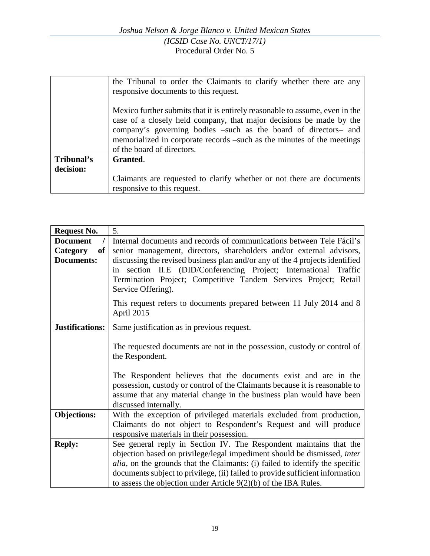|            | the Tribunal to order the Claimants to clarify whether there are any         |
|------------|------------------------------------------------------------------------------|
|            | responsive documents to this request.                                        |
|            |                                                                              |
|            | Mexico further submits that it is entirely reasonable to assume, even in the |
|            | case of a closely held company, that major decisions be made by the          |
|            | company's governing bodies –such as the board of directors– and              |
|            | memorialized in corporate records –such as the minutes of the meetings       |
|            | of the board of directors.                                                   |
| Tribunal's | Granted.                                                                     |
| decision:  |                                                                              |
|            | Claimants are requested to clarify whether or not there are documents        |
|            | responsive to this request.                                                  |

| <b>Request No.</b>    | 5.                                                                                                                                             |
|-----------------------|------------------------------------------------------------------------------------------------------------------------------------------------|
| <b>Document</b>       | Internal documents and records of communications between Tele Fácil's                                                                          |
| of<br><b>Category</b> | senior management, directors, shareholders and/or external advisors,                                                                           |
| <b>Documents:</b>     | discussing the revised business plan and/or any of the 4 projects identified                                                                   |
|                       | in section II.E (DID/Conferencing Project; International Traffic                                                                               |
|                       | Termination Project; Competitive Tandem Services Project; Retail                                                                               |
|                       | Service Offering).                                                                                                                             |
|                       | This request refers to documents prepared between 11 July 2014 and 8                                                                           |
|                       | April 2015                                                                                                                                     |
| Justifications:       | Same justification as in previous request.                                                                                                     |
|                       |                                                                                                                                                |
|                       | The requested documents are not in the possession, custody or control of                                                                       |
|                       | the Respondent.                                                                                                                                |
|                       |                                                                                                                                                |
|                       | The Respondent believes that the documents exist and are in the<br>possession, custody or control of the Claimants because it is reasonable to |
|                       | assume that any material change in the business plan would have been                                                                           |
|                       | discussed internally.                                                                                                                          |
| <b>Objections:</b>    | With the exception of privileged materials excluded from production,                                                                           |
|                       | Claimants do not object to Respondent's Request and will produce                                                                               |
|                       | responsive materials in their possession.                                                                                                      |
| <b>Reply:</b>         | See general reply in Section IV. The Respondent maintains that the                                                                             |
|                       | objection based on privilege/legal impediment should be dismissed, <i>inter</i>                                                                |
|                       | <i>alia</i> , on the grounds that the Claimants: (i) failed to identify the specific                                                           |
|                       | documents subject to privilege, (ii) failed to provide sufficient information                                                                  |
|                       | to assess the objection under Article $9(2)(b)$ of the IBA Rules.                                                                              |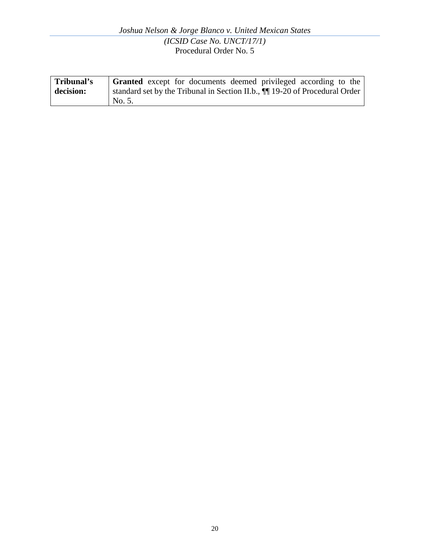| Tribunal's | <b>Granted</b> except for documents deemed privileged according to the        |
|------------|-------------------------------------------------------------------------------|
| decision:  | standard set by the Tribunal in Section II.b., $\P$ 19-20 of Procedural Order |
|            | No. 5.                                                                        |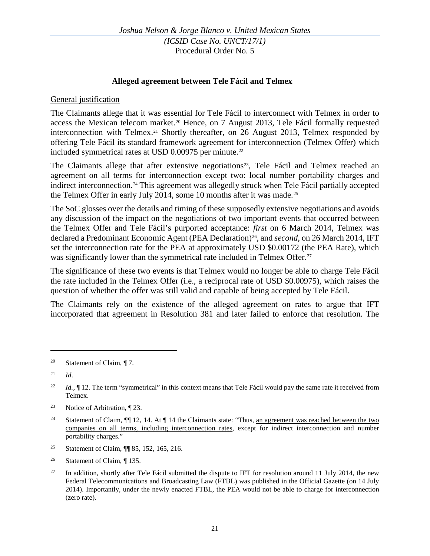### **Alleged agreement between Tele Fácil and Telmex**

#### General justification

The Claimants allege that it was essential for Tele Fácil to interconnect with Telmex in order to access the Mexican telecom market.<sup>[20](#page-20-0)</sup> Hence, on 7 August 2013, Tele Fácil formally requested interconnection with Telmex.<sup>[21](#page-20-1)</sup> Shortly thereafter, on 26 August 2013, Telmex responded by offering Tele Fácil its standard framework agreement for interconnection (Telmex Offer) which included symmetrical rates at USD  $0.00975$  per minute.<sup>[22](#page-20-2)</sup>

The Claimants allege that after extensive negotiations<sup>[23](#page-20-3)</sup>, Tele Fácil and Telmex reached an agreement on all terms for interconnection except two: local number portability charges and indirect interconnection.[24](#page-20-4) This agreement was allegedly struck when Tele Fácil partially accepted the Telmex Offer in early July 2014, some 10 months after it was made.<sup>[25](#page-20-5)</sup>

The SoC glosses over the details and timing of these supposedly extensive negotiations and avoids any discussion of the impact on the negotiations of two important events that occurred between the Telmex Offer and Tele Fácil's purported acceptance: *first* on 6 March 2014, Telmex was declared a Predominant Economic Agent (PEA Declaration)<sup>26</sup>, and *second*, on 26 March 2014, IFT set the interconnection rate for the PEA at approximately USD \$0.00172 (the PEA Rate), which was significantly lower than the symmetrical rate included in Telmex Offer.<sup>[27](#page-20-7)</sup>

The significance of these two events is that Telmex would no longer be able to charge Tele Fácil the rate included in the Telmex Offer (i.e., a reciprocal rate of USD \$0.00975), which raises the question of whether the offer was still valid and capable of being accepted by Tele Fácil.

The Claimants rely on the existence of the alleged agreement on rates to argue that IFT incorporated that agreement in Resolution 381 and later failed to enforce that resolution. The

 $\overline{a}$ 

<span id="page-20-5"></span><sup>25</sup> Statement of Claim, ¶[ 85, 152, 165, 216.

<span id="page-20-0"></span><sup>&</sup>lt;sup>20</sup> Statement of Claim,  $\P$  7.

<span id="page-20-1"></span> $^{21}$  *Id.* 

<span id="page-20-2"></span><sup>&</sup>lt;sup>22</sup> *Id.*, ¶ 12. The term "symmetrical" in this context means that Tele Fácil would pay the same rate it received from Telmex.

<span id="page-20-3"></span><sup>23</sup> Notice of Arbitration, ¶ 23.

<span id="page-20-4"></span><sup>&</sup>lt;sup>24</sup> Statement of Claim,  $\P$  12, 14. At  $\P$  14 the Claimants state: "Thus, an agreement was reached between the two companies on all terms, including interconnection rates, except for indirect interconnection and number portability charges."

<span id="page-20-6"></span><sup>&</sup>lt;sup>26</sup> Statement of Claim,  $\P$  135.

<span id="page-20-7"></span> $27$  In addition, shortly after Tele Fácil submitted the dispute to IFT for resolution around 11 July 2014, the new Federal Telecommunications and Broadcasting Law (FTBL) was published in the Official Gazette (on 14 July 2014). Importantly, under the newly enacted FTBL, the PEA would not be able to charge for interconnection (zero rate).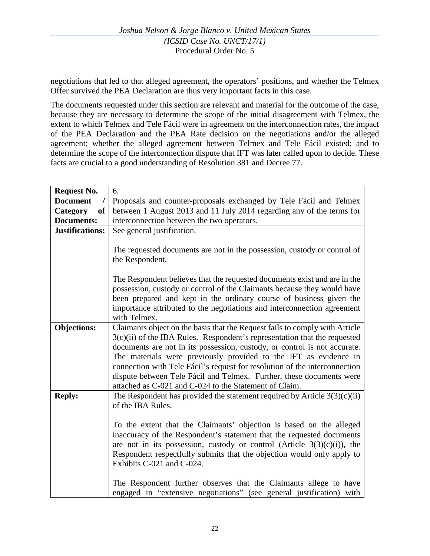negotiations that led to that alleged agreement, the operators' positions, and whether the Telmex Offer survived the PEA Declaration are thus very important facts in this case.

The documents requested under this section are relevant and material for the outcome of the case, because they are necessary to determine the scope of the initial disagreement with Telmex, the extent to which Telmex and Tele Fácil were in agreement on the interconnection rates, the impact of the PEA Declaration and the PEA Rate decision on the negotiations and/or the alleged agreement; whether the alleged agreement between Telmex and Tele Fácil existed; and to determine the scope of the interconnection dispute that IFT was later called upon to decide. These facts are crucial to a good understanding of Resolution 381 and Decree 77.

| <b>Request No.</b>     | 6.                                                                                                                                                                     |
|------------------------|------------------------------------------------------------------------------------------------------------------------------------------------------------------------|
| <b>Document</b>        | Proposals and counter-proposals exchanged by Tele Fácil and Telmex                                                                                                     |
| Category<br><b>of</b>  | between 1 August 2013 and 11 July 2014 regarding any of the terms for                                                                                                  |
| <b>Documents:</b>      | interconnection between the two operators.                                                                                                                             |
| <b>Justifications:</b> | See general justification.                                                                                                                                             |
|                        |                                                                                                                                                                        |
|                        | The requested documents are not in the possession, custody or control of                                                                                               |
|                        | the Respondent.                                                                                                                                                        |
|                        |                                                                                                                                                                        |
|                        | The Respondent believes that the requested documents exist and are in the                                                                                              |
|                        | possession, custody or control of the Claimants because they would have                                                                                                |
|                        | been prepared and kept in the ordinary course of business given the                                                                                                    |
|                        | importance attributed to the negotiations and interconnection agreement                                                                                                |
|                        | with Telmex.                                                                                                                                                           |
| <b>Objections:</b>     | Claimants object on the basis that the Request fails to comply with Article                                                                                            |
|                        | 3(c)(ii) of the IBA Rules. Respondent's representation that the requested                                                                                              |
|                        | documents are not in its possession, custody, or control is not accurate.                                                                                              |
|                        | The materials were previously provided to the IFT as evidence in                                                                                                       |
|                        | connection with Tele Fácil's request for resolution of the interconnection                                                                                             |
|                        | dispute between Tele Fácil and Telmex. Further, these documents were                                                                                                   |
|                        | attached as C-021 and C-024 to the Statement of Claim.                                                                                                                 |
| <b>Reply:</b>          | The Respondent has provided the statement required by Article $3(3)(c)(ii)$                                                                                            |
|                        | of the IBA Rules.                                                                                                                                                      |
|                        |                                                                                                                                                                        |
|                        | To the extent that the Claimants' objection is based on the alleged<br>inaccuracy of the Respondent's statement that the requested documents                           |
|                        | are not in its possession, custody or control (Article $3(3)(c)(i)$ ), the                                                                                             |
|                        | Respondent respectfully submits that the objection would only apply to                                                                                                 |
|                        |                                                                                                                                                                        |
|                        |                                                                                                                                                                        |
|                        |                                                                                                                                                                        |
|                        |                                                                                                                                                                        |
|                        | Exhibits C-021 and C-024.<br>The Respondent further observes that the Claimants allege to have<br>engaged in "extensive negotiations" (see general justification) with |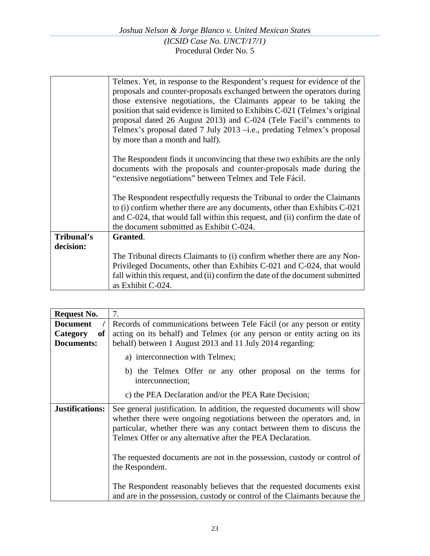| Telmex. Yet, in response to the Respondent's request for evidence of the      |
|-------------------------------------------------------------------------------|
| proposals and counter-proposals exchanged between the operators during        |
| those extensive negotiations, the Claimants appear to be taking the           |
| position that said evidence is limited to Exhibits C-021 (Telmex's original   |
| proposal dated 26 August 2013) and C-024 (Tele Facil's comments to            |
| Telmex's proposal dated 7 July 2013 -i.e., predating Telmex's proposal        |
| by more than a month and half).                                               |
|                                                                               |
| The Respondent finds it unconvincing that these two exhibits are the only     |
| documents with the proposals and counter-proposals made during the            |
| "extensive negotiations" between Telmex and Tele Fácil.                       |
|                                                                               |
|                                                                               |
| The Respondent respectfully requests the Tribunal to order the Claimants      |
| to (i) confirm whether there are any documents, other than Exhibits C-021     |
| and C-024, that would fall within this request, and (ii) confirm the date of  |
| the document submitted as Exhibit C-024.                                      |
| Granted.                                                                      |
|                                                                               |
| The Tribunal directs Claimants to (i) confirm whether there are any Non-      |
| Privileged Documents, other than Exhibits C-021 and C-024, that would         |
| fall within this request, and (ii) confirm the date of the document submitted |
| as Exhibit C-024.                                                             |
|                                                                               |

| <b>Request No.</b>                | 7.                                                                                                                                                                                                                                                                                        |
|-----------------------------------|-------------------------------------------------------------------------------------------------------------------------------------------------------------------------------------------------------------------------------------------------------------------------------------------|
| <b>Document</b><br>Category<br>of | Records of communications between Tele Fácil (or any person or entity<br>acting on its behalf) and Telmex (or any person or entity acting on its                                                                                                                                          |
| Documents:                        | behalf) between 1 August 2013 and 11 July 2014 regarding:                                                                                                                                                                                                                                 |
|                                   | a) interconnection with Telmex;                                                                                                                                                                                                                                                           |
|                                   | b) the Telmex Offer or any other proposal on the terms for<br>interconnection;                                                                                                                                                                                                            |
|                                   | c) the PEA Declaration and/or the PEA Rate Decision;                                                                                                                                                                                                                                      |
| <b>Justifications:</b>            | See general justification. In addition, the requested documents will show<br>whether there were ongoing negotiations between the operators and, in<br>particular, whether there was any contact between them to discuss the<br>Telmex Offer or any alternative after the PEA Declaration. |
|                                   | The requested documents are not in the possession, custody or control of<br>the Respondent.                                                                                                                                                                                               |
|                                   | The Respondent reasonably believes that the requested documents exist<br>and are in the possession, custody or control of the Claimants because the                                                                                                                                       |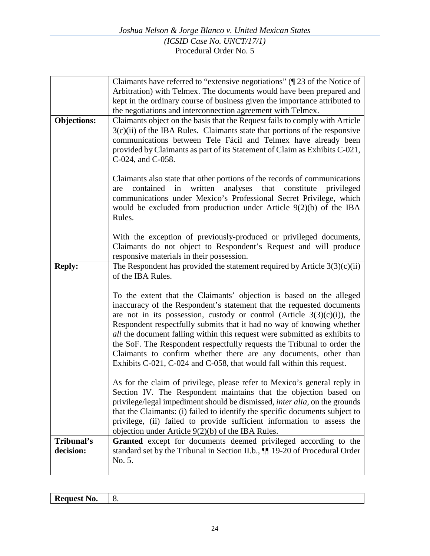|                    | Claimants have referred to "extensive negotiations" $(\sqrt{\phantom{a}}\,23\,$ of the Notice of                                                                                                                                                                                                                                                                                                                                                                                                                                                                                                                 |
|--------------------|------------------------------------------------------------------------------------------------------------------------------------------------------------------------------------------------------------------------------------------------------------------------------------------------------------------------------------------------------------------------------------------------------------------------------------------------------------------------------------------------------------------------------------------------------------------------------------------------------------------|
|                    | Arbitration) with Telmex. The documents would have been prepared and                                                                                                                                                                                                                                                                                                                                                                                                                                                                                                                                             |
|                    | kept in the ordinary course of business given the importance attributed to                                                                                                                                                                                                                                                                                                                                                                                                                                                                                                                                       |
|                    | the negotiations and interconnection agreement with Telmex.                                                                                                                                                                                                                                                                                                                                                                                                                                                                                                                                                      |
| <b>Objections:</b> | Claimants object on the basis that the Request fails to comply with Article<br>$3(c)(ii)$ of the IBA Rules. Claimants state that portions of the responsive<br>communications between Tele Fácil and Telmex have already been<br>provided by Claimants as part of its Statement of Claim as Exhibits C-021,<br>C-024, and C-058.                                                                                                                                                                                                                                                                                 |
|                    | Claimants also state that other portions of the records of communications<br>analyses<br>in<br>written<br>that<br>constitute<br>privileged<br>contained<br>are<br>communications under Mexico's Professional Secret Privilege, which<br>would be excluded from production under Article $9(2)(b)$ of the IBA<br>Rules.                                                                                                                                                                                                                                                                                           |
|                    | With the exception of previously-produced or privileged documents,<br>Claimants do not object to Respondent's Request and will produce<br>responsive materials in their possession.                                                                                                                                                                                                                                                                                                                                                                                                                              |
| <b>Reply:</b>      | The Respondent has provided the statement required by Article $3(3)(c)(ii)$<br>of the IBA Rules.                                                                                                                                                                                                                                                                                                                                                                                                                                                                                                                 |
|                    | To the extent that the Claimants' objection is based on the alleged<br>inaccuracy of the Respondent's statement that the requested documents<br>are not in its possession, custody or control (Article $3(3)(c)(i)$ ), the<br>Respondent respectfully submits that it had no way of knowing whether<br><i>all</i> the document falling within this request were submitted as exhibits to<br>the SoF. The Respondent respectfully requests the Tribunal to order the<br>Claimants to confirm whether there are any documents, other than<br>Exhibits C-021, C-024 and C-058, that would fall within this request. |
|                    | As for the claim of privilege, please refer to Mexico's general reply in<br>Section IV. The Respondent maintains that the objection based on<br>privilege/legal impediment should be dismissed, <i>inter alia</i> , on the grounds<br>that the Claimants: (i) failed to identify the specific documents subject to<br>privilege, (ii) failed to provide sufficient information to assess the<br>objection under Article $9(2)(b)$ of the IBA Rules.                                                                                                                                                              |
| Tribunal's         | Granted except for documents deemed privileged according to the                                                                                                                                                                                                                                                                                                                                                                                                                                                                                                                                                  |
| decision:          | standard set by the Tribunal in Section II.b., $\P$ 19-20 of Procedural Order<br>No. 5.                                                                                                                                                                                                                                                                                                                                                                                                                                                                                                                          |
|                    |                                                                                                                                                                                                                                                                                                                                                                                                                                                                                                                                                                                                                  |

| $\mathbf{R}$<br>the contract of the contract of the con- | $\overline{\phantom{a}}$ |
|----------------------------------------------------------|--------------------------|
|                                                          |                          |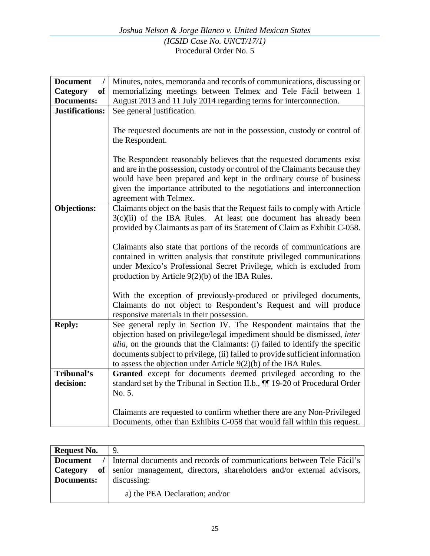| Minutes, notes, memoranda and records of communications, discussing or               |
|--------------------------------------------------------------------------------------|
| memorializing meetings between Telmex and Tele Fácil between 1                       |
| August 2013 and 11 July 2014 regarding terms for interconnection.                    |
| See general justification.                                                           |
|                                                                                      |
| The requested documents are not in the possession, custody or control of             |
| the Respondent.                                                                      |
|                                                                                      |
| The Respondent reasonably believes that the requested documents exist                |
| and are in the possession, custody or control of the Claimants because they          |
| would have been prepared and kept in the ordinary course of business                 |
|                                                                                      |
| given the importance attributed to the negotiations and interconnection              |
| agreement with Telmex.                                                               |
| Claimants object on the basis that the Request fails to comply with Article          |
| $3(c)(ii)$ of the IBA Rules.<br>At least one document has already been               |
| provided by Claimants as part of its Statement of Claim as Exhibit C-058.            |
|                                                                                      |
| Claimants also state that portions of the records of communications are              |
| contained in written analysis that constitute privileged communications              |
| under Mexico's Professional Secret Privilege, which is excluded from                 |
| production by Article $9(2)(b)$ of the IBA Rules.                                    |
|                                                                                      |
| With the exception of previously-produced or privileged documents,                   |
| Claimants do not object to Respondent's Request and will produce                     |
| responsive materials in their possession.                                            |
| See general reply in Section IV. The Respondent maintains that the                   |
| objection based on privilege/legal impediment should be dismissed, inter             |
| <i>alia</i> , on the grounds that the Claimants: (i) failed to identify the specific |
| documents subject to privilege, (ii) failed to provide sufficient information        |
| to assess the objection under Article $9(2)(b)$ of the IBA Rules.                    |
| Granted except for documents deemed privileged according to the                      |
| standard set by the Tribunal in Section II.b., 11 19-20 of Procedural Order          |
| No. 5.                                                                               |
|                                                                                      |
| Claimants are requested to confirm whether there are any Non-Privileged              |
| Documents, other than Exhibits C-058 that would fall within this request.            |
|                                                                                      |

| <b>Request No.</b> |                                                                                         |
|--------------------|-----------------------------------------------------------------------------------------|
|                    | <b>Document</b> / Internal documents and records of communications between Tele Fácil's |
|                    | <b>Category</b> of senior management, directors, shareholders and/or external advisors, |
| <b>Documents:</b>  | discussing:                                                                             |
|                    | a) the PEA Declaration; and/or                                                          |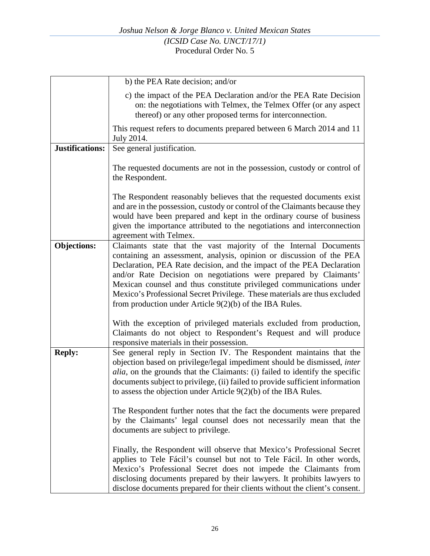|                        | b) the PEA Rate decision; and/or                                                                                                                                                                                                                                                                                                                                                                                                                                                                       |
|------------------------|--------------------------------------------------------------------------------------------------------------------------------------------------------------------------------------------------------------------------------------------------------------------------------------------------------------------------------------------------------------------------------------------------------------------------------------------------------------------------------------------------------|
|                        | c) the impact of the PEA Declaration and/or the PEA Rate Decision<br>on: the negotiations with Telmex, the Telmex Offer (or any aspect<br>thereof) or any other proposed terms for interconnection.                                                                                                                                                                                                                                                                                                    |
|                        | This request refers to documents prepared between 6 March 2014 and 11<br>July 2014.                                                                                                                                                                                                                                                                                                                                                                                                                    |
| <b>Justifications:</b> | See general justification.                                                                                                                                                                                                                                                                                                                                                                                                                                                                             |
|                        | The requested documents are not in the possession, custody or control of<br>the Respondent.                                                                                                                                                                                                                                                                                                                                                                                                            |
|                        | The Respondent reasonably believes that the requested documents exist<br>and are in the possession, custody or control of the Claimants because they<br>would have been prepared and kept in the ordinary course of business<br>given the importance attributed to the negotiations and interconnection<br>agreement with Telmex.                                                                                                                                                                      |
| <b>Objections:</b>     | Claimants state that the vast majority of the Internal Documents<br>containing an assessment, analysis, opinion or discussion of the PEA<br>Declaration, PEA Rate decision, and the impact of the PEA Declaration<br>and/or Rate Decision on negotiations were prepared by Claimants'<br>Mexican counsel and thus constitute privileged communications under<br>Mexico's Professional Secret Privilege. These materials are thus excluded<br>from production under Article $9(2)(b)$ of the IBA Rules. |
|                        | With the exception of privileged materials excluded from production,<br>Claimants do not object to Respondent's Request and will produce<br>responsive materials in their possession.                                                                                                                                                                                                                                                                                                                  |
| <b>Reply:</b>          | See general reply in Section IV. The Respondent maintains that the<br>objection based on privilege/legal impediment should be dismissed, inter<br><i>alia</i> , on the grounds that the Claimants: (i) failed to identify the specific<br>documents subject to privilege, (ii) failed to provide sufficient information<br>to assess the objection under Article $9(2)(b)$ of the IBA Rules.<br>The Respondent further notes that the fact the documents were prepared                                 |
|                        | by the Claimants' legal counsel does not necessarily mean that the<br>documents are subject to privilege.                                                                                                                                                                                                                                                                                                                                                                                              |
|                        | Finally, the Respondent will observe that Mexico's Professional Secret<br>applies to Tele Fácil's counsel but not to Tele Fácil. In other words,<br>Mexico's Professional Secret does not impede the Claimants from<br>disclosing documents prepared by their lawyers. It prohibits lawyers to<br>disclose documents prepared for their clients without the client's consent.                                                                                                                          |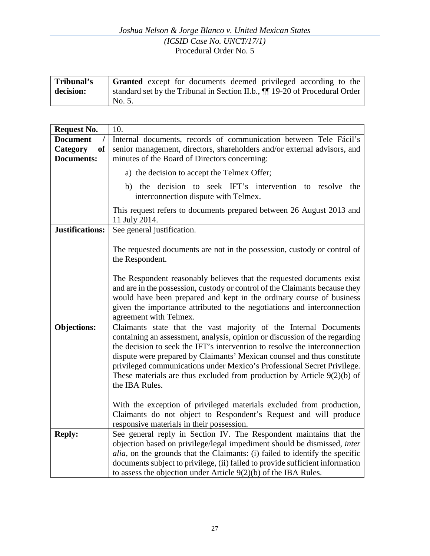| Tribunal's | <b>Granted</b> except for documents deemed privileged according to the        |
|------------|-------------------------------------------------------------------------------|
| decision:  | standard set by the Tribunal in Section II.b., $\P$ 19-20 of Procedural Order |
|            | No. 5.                                                                        |

| <b>Request No.</b>          | 10.                                                                                                                                                                                                                                                                                                                                                                                                                                                                               |
|-----------------------------|-----------------------------------------------------------------------------------------------------------------------------------------------------------------------------------------------------------------------------------------------------------------------------------------------------------------------------------------------------------------------------------------------------------------------------------------------------------------------------------|
| <b>Document</b><br>$\prime$ | Internal documents, records of communication between Tele Fácil's                                                                                                                                                                                                                                                                                                                                                                                                                 |
| <b>Category</b><br>of       | senior management, directors, shareholders and/or external advisors, and                                                                                                                                                                                                                                                                                                                                                                                                          |
| <b>Documents:</b>           | minutes of the Board of Directors concerning:                                                                                                                                                                                                                                                                                                                                                                                                                                     |
|                             | a) the decision to accept the Telmex Offer;                                                                                                                                                                                                                                                                                                                                                                                                                                       |
|                             | b) the decision to seek IFT's intervention to resolve<br>the<br>interconnection dispute with Telmex.                                                                                                                                                                                                                                                                                                                                                                              |
|                             | This request refers to documents prepared between 26 August 2013 and<br>11 July 2014.                                                                                                                                                                                                                                                                                                                                                                                             |
| <b>Justifications:</b>      | See general justification.                                                                                                                                                                                                                                                                                                                                                                                                                                                        |
|                             | The requested documents are not in the possession, custody or control of<br>the Respondent.                                                                                                                                                                                                                                                                                                                                                                                       |
|                             | The Respondent reasonably believes that the requested documents exist<br>and are in the possession, custody or control of the Claimants because they<br>would have been prepared and kept in the ordinary course of business<br>given the importance attributed to the negotiations and interconnection<br>agreement with Telmex.                                                                                                                                                 |
| <b>Objections:</b>          | Claimants state that the vast majority of the Internal Documents<br>containing an assessment, analysis, opinion or discussion of the regarding<br>the decision to seek the IFT's intervention to resolve the interconnection<br>dispute were prepared by Claimants' Mexican counsel and thus constitute<br>privileged communications under Mexico's Professional Secret Privilege.<br>These materials are thus excluded from production by Article $9(2)(b)$ of<br>the IBA Rules. |
|                             | With the exception of privileged materials excluded from production,<br>Claimants do not object to Respondent's Request and will produce<br>responsive materials in their possession.                                                                                                                                                                                                                                                                                             |
| <b>Reply:</b>               | See general reply in Section IV. The Respondent maintains that the<br>objection based on privilege/legal impediment should be dismissed, inter<br><i>alia</i> , on the grounds that the Claimants: (i) failed to identify the specific<br>documents subject to privilege, (ii) failed to provide sufficient information<br>to assess the objection under Article $9(2)(b)$ of the IBA Rules.                                                                                      |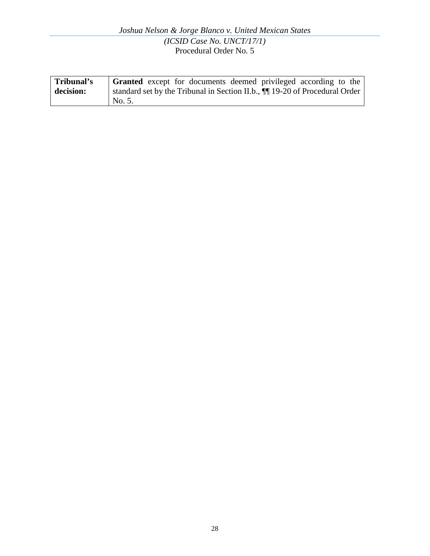| Tribunal's | <b>Granted</b> except for documents deemed privileged according to the        |
|------------|-------------------------------------------------------------------------------|
| decision:  | standard set by the Tribunal in Section II.b., $\P$ 19-20 of Procedural Order |
|            | No. 5.                                                                        |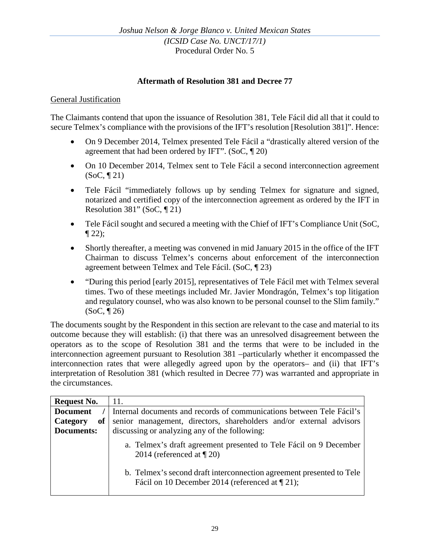### **Aftermath of Resolution 381 and Decree 77**

#### General Justification

The Claimants contend that upon the issuance of Resolution 381, Tele Fácil did all that it could to secure Telmex's compliance with the provisions of the IFT's resolution [Resolution 381]". Hence:

- On 9 December 2014, Telmex presented Tele Fácil a "drastically altered version of the agreement that had been ordered by IFT". (SoC, ¶ 20)
- On 10 December 2014, Telmex sent to Tele Fácil a second interconnection agreement  $(SoC, \P 21)$
- Tele Fácil "immediately follows up by sending Telmex for signature and signed, notarized and certified copy of the interconnection agreement as ordered by the IFT in Resolution 381" (SoC, ¶ 21)
- Tele Fácil sought and secured a meeting with the Chief of IFT's Compliance Unit (SoC,  $\P$  22);
- Shortly thereafter, a meeting was convened in mid January 2015 in the office of the IFT Chairman to discuss Telmex's concerns about enforcement of the interconnection agreement between Telmex and Tele Fácil. (SoC, ¶ 23)
- "During this period [early 2015], representatives of Tele Fácil met with Telmex several times. Two of these meetings included Mr. Javier Mondragón, Telmex's top litigation and regulatory counsel, who was also known to be personal counsel to the Slim family." (SoC, ¶ 26)

The documents sought by the Respondent in this section are relevant to the case and material to its outcome because they will establish: (i) that there was an unresolved disagreement between the operators as to the scope of Resolution 381 and the terms that were to be included in the interconnection agreement pursuant to Resolution 381 –particularly whether it encompassed the interconnection rates that were allegedly agreed upon by the operators– and (ii) that IFT's interpretation of Resolution 381 (which resulted in Decree 77) was warranted and appropriate in the circumstances.

| <b>Request No.</b> | 11.                                                                                                                    |
|--------------------|------------------------------------------------------------------------------------------------------------------------|
| <b>Document</b>    | Internal documents and records of communications between Tele Fácil's                                                  |
| of<br>Category     | senior management, directors, shareholders and/or external advisors                                                    |
| <b>Documents:</b>  | discussing or analyzing any of the following:                                                                          |
|                    | a. Telmex's draft agreement presented to Tele Fácil on 9 December<br>2014 (referenced at $\P$ 20)                      |
|                    | b. Telmex's second draft interconnection agreement presented to Tele<br>Fácil on 10 December 2014 (referenced at 121); |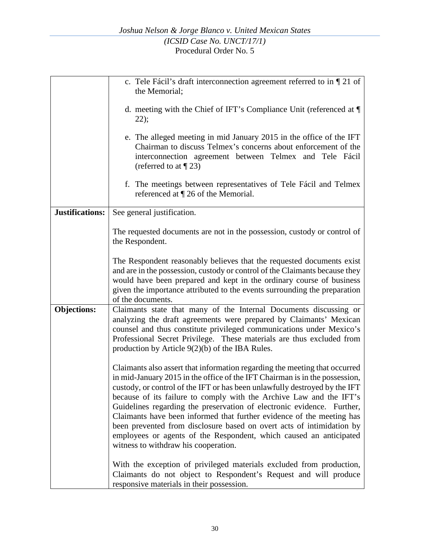|                    | c. Tele Fácil's draft interconnection agreement referred to in $\P$ 21 of<br>the Memorial;                                                                                                                                                                                                                                                                                                                                                                                                                                                                                                                                                               |
|--------------------|----------------------------------------------------------------------------------------------------------------------------------------------------------------------------------------------------------------------------------------------------------------------------------------------------------------------------------------------------------------------------------------------------------------------------------------------------------------------------------------------------------------------------------------------------------------------------------------------------------------------------------------------------------|
|                    | d. meeting with the Chief of IFT's Compliance Unit (referenced at $\P$<br>22);                                                                                                                                                                                                                                                                                                                                                                                                                                                                                                                                                                           |
|                    | e. The alleged meeting in mid January 2015 in the office of the IFT<br>Chairman to discuss Telmex's concerns about enforcement of the<br>interconnection agreement between Telmex and Tele Fácil<br>(referred to at $\P$ 23)                                                                                                                                                                                                                                                                                                                                                                                                                             |
|                    | f. The meetings between representatives of Tele Fácil and Telmex<br>referenced at $\P$ 26 of the Memorial.                                                                                                                                                                                                                                                                                                                                                                                                                                                                                                                                               |
| Justifications:    | See general justification.                                                                                                                                                                                                                                                                                                                                                                                                                                                                                                                                                                                                                               |
|                    | The requested documents are not in the possession, custody or control of<br>the Respondent.                                                                                                                                                                                                                                                                                                                                                                                                                                                                                                                                                              |
|                    | The Respondent reasonably believes that the requested documents exist<br>and are in the possession, custody or control of the Claimants because they<br>would have been prepared and kept in the ordinary course of business<br>given the importance attributed to the events surrounding the preparation<br>of the documents.                                                                                                                                                                                                                                                                                                                           |
| <b>Objections:</b> | Claimants state that many of the Internal Documents discussing or<br>analyzing the draft agreements were prepared by Claimants' Mexican<br>counsel and thus constitute privileged communications under Mexico's<br>Professional Secret Privilege. These materials are thus excluded from<br>production by Article $9(2)(b)$ of the IBA Rules.                                                                                                                                                                                                                                                                                                            |
|                    | Claimants also assert that information regarding the meeting that occurred<br>in mid-January 2015 in the office of the IFT Chairman is in the possession,<br>custody, or control of the IFT or has been unlawfully destroyed by the IFT<br>because of its failure to comply with the Archive Law and the IFT's<br>Guidelines regarding the preservation of electronic evidence. Further,<br>Claimants have been informed that further evidence of the meeting has<br>been prevented from disclosure based on overt acts of intimidation by<br>employees or agents of the Respondent, which caused an anticipated<br>witness to withdraw his cooperation. |
|                    | With the exception of privileged materials excluded from production,<br>Claimants do not object to Respondent's Request and will produce<br>responsive materials in their possession.                                                                                                                                                                                                                                                                                                                                                                                                                                                                    |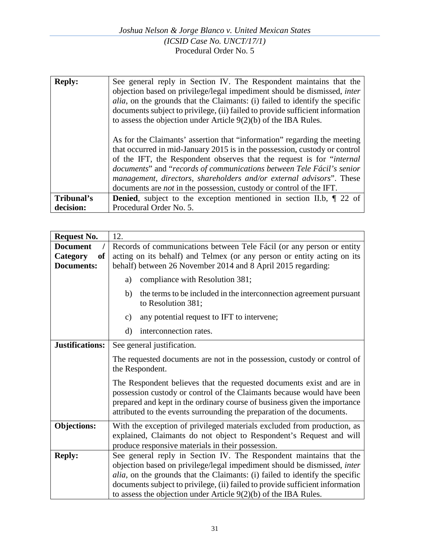| <b>Reply:</b> | See general reply in Section IV. The Respondent maintains that the<br>objection based on privilege/legal impediment should be dismissed, <i>inter</i><br><i>alia</i> , on the grounds that the Claimants: (i) failed to identify the specific<br>documents subject to privilege, (ii) failed to provide sufficient information<br>to assess the objection under Article $9(2)(b)$ of the IBA Rules.                                                             |
|---------------|-----------------------------------------------------------------------------------------------------------------------------------------------------------------------------------------------------------------------------------------------------------------------------------------------------------------------------------------------------------------------------------------------------------------------------------------------------------------|
|               | As for the Claimants' assertion that "information" regarding the meeting<br>that occurred in mid-January 2015 is in the possession, custody or control<br>of the IFT, the Respondent observes that the request is for "internal"<br>documents" and "records of communications between Tele Fácil's senior<br>management, directors, shareholders and/or external advisors". These<br>documents are <i>not</i> in the possession, custody or control of the IFT. |
| Tribunal's    | <b>Denied</b> , subject to the exception mentioned in section II.b, $\P$ 22 of                                                                                                                                                                                                                                                                                                                                                                                  |
| decision:     | Procedural Order No. 5.                                                                                                                                                                                                                                                                                                                                                                                                                                         |

| <b>Request No.</b>     | 12.                                                                                                                                                                                                                                                                                                                                                                                  |
|------------------------|--------------------------------------------------------------------------------------------------------------------------------------------------------------------------------------------------------------------------------------------------------------------------------------------------------------------------------------------------------------------------------------|
| <b>Document</b>        | Records of communications between Tele Fácil (or any person or entity                                                                                                                                                                                                                                                                                                                |
| Category<br><b>of</b>  | acting on its behalf) and Telmex (or any person or entity acting on its                                                                                                                                                                                                                                                                                                              |
| <b>Documents:</b>      | behalf) between 26 November 2014 and 8 April 2015 regarding:                                                                                                                                                                                                                                                                                                                         |
|                        | compliance with Resolution 381;<br>a)                                                                                                                                                                                                                                                                                                                                                |
|                        | the terms to be included in the interconnection agreement pursuant<br>b)<br>to Resolution 381;                                                                                                                                                                                                                                                                                       |
|                        | any potential request to IFT to intervene;<br>$\mathbf{c})$                                                                                                                                                                                                                                                                                                                          |
|                        | interconnection rates.<br>$\rm d$                                                                                                                                                                                                                                                                                                                                                    |
| <b>Justifications:</b> | See general justification.                                                                                                                                                                                                                                                                                                                                                           |
|                        | The requested documents are not in the possession, custody or control of<br>the Respondent.                                                                                                                                                                                                                                                                                          |
|                        | The Respondent believes that the requested documents exist and are in<br>possession custody or control of the Claimants because would have been<br>prepared and kept in the ordinary course of business given the importance<br>attributed to the events surrounding the preparation of the documents.                                                                               |
| <b>Objections:</b>     | With the exception of privileged materials excluded from production, as<br>explained, Claimants do not object to Respondent's Request and will<br>produce responsive materials in their possession.                                                                                                                                                                                  |
| <b>Reply:</b>          | See general reply in Section IV. The Respondent maintains that the<br>objection based on privilege/legal impediment should be dismissed, inter<br>alia, on the grounds that the Claimants: (i) failed to identify the specific<br>documents subject to privilege, (ii) failed to provide sufficient information<br>to assess the objection under Article $9(2)(b)$ of the IBA Rules. |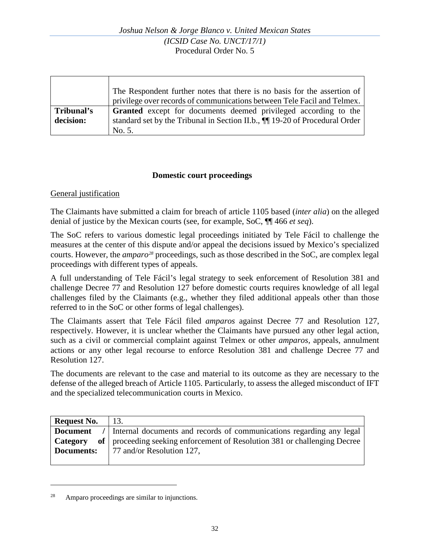|            | The Respondent further notes that there is no basis for the assertion of      |
|------------|-------------------------------------------------------------------------------|
|            | privilege over records of communications between Tele Facil and Telmex.       |
| Tribunal's | <b>Granted</b> except for documents deemed privileged according to the        |
| decision:  | standard set by the Tribunal in Section II.b., $\P$ 19-20 of Procedural Order |
|            | No. 5.                                                                        |

### **Domestic court proceedings**

#### General justification

The Claimants have submitted a claim for breach of article 1105 based (*inter alia*) on the alleged denial of justice by the Mexican courts (see, for example, SoC, ¶¶ 466 *et seq*).

The SoC refers to various domestic legal proceedings initiated by Tele Fácil to challenge the measures at the center of this dispute and/or appeal the decisions issued by Mexico's specialized courts. However, the *amparo[28](#page-31-0)* proceedings, such as those described in the SoC, are complex legal proceedings with different types of appeals.

A full understanding of Tele Fácil's legal strategy to seek enforcement of Resolution 381 and challenge Decree 77 and Resolution 127 before domestic courts requires knowledge of all legal challenges filed by the Claimants (e.g., whether they filed additional appeals other than those referred to in the SoC or other forms of legal challenges).

The Claimants assert that Tele Fácil filed *amparos* against Decree 77 and Resolution 127, respectively. However, it is unclear whether the Claimants have pursued any other legal action, such as a civil or commercial complaint against Telmex or other *amparos,* appeals, annulment actions or any other legal recourse to enforce Resolution 381 and challenge Decree 77 and Resolution 127.

The documents are relevant to the case and material to its outcome as they are necessary to the defense of the alleged breach of Article 1105. Particularly, to assess the alleged misconduct of IFT and the specialized telecommunication courts in Mexico.

| <b>Request No.</b> | 13.                                                                       |
|--------------------|---------------------------------------------------------------------------|
| Document           | / Internal documents and records of communications regarding any legal    |
| Category           | of proceeding seeking enforcement of Resolution 381 or challenging Decree |
|                    | <b>Documents:</b>   77 and/or Resolution 127,                             |
|                    |                                                                           |

<span id="page-31-0"></span><sup>28</sup> Amparo proceedings are similar to injunctions.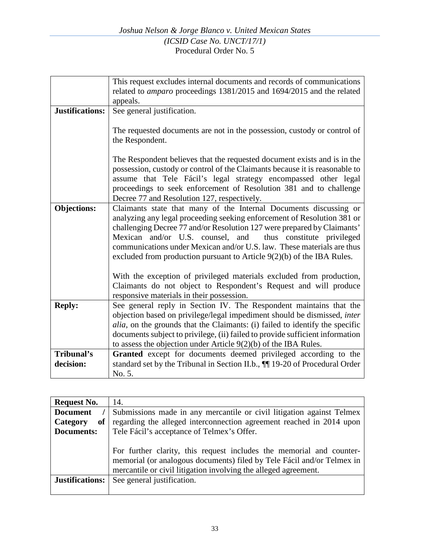|                        | This request excludes internal documents and records of communications        |
|------------------------|-------------------------------------------------------------------------------|
|                        | related to <i>amparo</i> proceedings 1381/2015 and 1694/2015 and the related  |
|                        | appeals.                                                                      |
| <b>Justifications:</b> | See general justification.                                                    |
|                        |                                                                               |
|                        | The requested documents are not in the possession, custody or control of      |
|                        | the Respondent.                                                               |
|                        |                                                                               |
|                        | The Respondent believes that the requested document exists and is in the      |
|                        | possession, custody or control of the Claimants because it is reasonable to   |
|                        | assume that Tele Fácil's legal strategy encompassed other legal               |
|                        | proceedings to seek enforcement of Resolution 381 and to challenge            |
|                        | Decree 77 and Resolution 127, respectively.                                   |
| <b>Objections:</b>     | Claimants state that many of the Internal Documents discussing or             |
|                        | analyzing any legal proceeding seeking enforcement of Resolution 381 or       |
|                        | challenging Decree 77 and/or Resolution 127 were prepared by Claimants'       |
|                        | Mexican and/or U.S. counsel, and thus constitute privileged                   |
|                        | communications under Mexican and/or U.S. law. These materials are thus        |
|                        | excluded from production pursuant to Article $9(2)(b)$ of the IBA Rules.      |
|                        |                                                                               |
|                        | With the exception of privileged materials excluded from production,          |
|                        | Claimants do not object to Respondent's Request and will produce              |
|                        | responsive materials in their possession.                                     |
| <b>Reply:</b>          | See general reply in Section IV. The Respondent maintains that the            |
|                        | objection based on privilege/legal impediment should be dismissed, inter      |
|                        | alia, on the grounds that the Claimants: (i) failed to identify the specific  |
|                        | documents subject to privilege, (ii) failed to provide sufficient information |
|                        | to assess the objection under Article $9(2)(b)$ of the IBA Rules.             |
| Tribunal's             | Granted except for documents deemed privileged according to the               |
| decision:              | standard set by the Tribunal in Section II.b., $\P$ 19-20 of Procedural Order |
|                        | No. 5.                                                                        |

| <b>Request No.</b>     | 14.                                                                                                                                                                                                               |
|------------------------|-------------------------------------------------------------------------------------------------------------------------------------------------------------------------------------------------------------------|
| <b>Document</b>        | Submissions made in any mercantile or civil litigation against Telmex                                                                                                                                             |
| <b>of</b><br>Category  | regarding the alleged interconnection agreement reached in 2014 upon                                                                                                                                              |
| Documents:             | Tele Fácil's acceptance of Telmex's Offer.                                                                                                                                                                        |
|                        | For further clarity, this request includes the memorial and counter-<br>memorial (or analogous documents) filed by Tele Fácil and/or Telmex in<br>mercantile or civil litigation involving the alleged agreement. |
| <b>Justifications:</b> | See general justification.                                                                                                                                                                                        |
|                        |                                                                                                                                                                                                                   |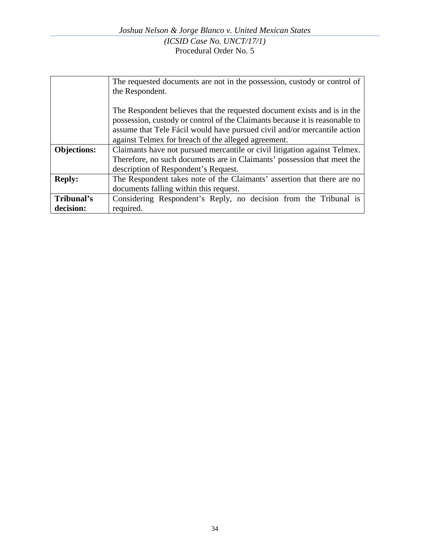|                    | The requested documents are not in the possession, custody or control of    |
|--------------------|-----------------------------------------------------------------------------|
|                    | the Respondent.                                                             |
|                    |                                                                             |
|                    | The Respondent believes that the requested document exists and is in the    |
|                    | possession, custody or control of the Claimants because it is reasonable to |
|                    | assume that Tele Fácil would have pursued civil and/or mercantile action    |
|                    | against Telmex for breach of the alleged agreement.                         |
| <b>Objections:</b> | Claimants have not pursued mercantile or civil litigation against Telmex.   |
|                    | Therefore, no such documents are in Claimants' possession that meet the     |
|                    | description of Respondent's Request.                                        |
| <b>Reply:</b>      | The Respondent takes note of the Claimants' assertion that there are no     |
|                    | documents falling within this request.                                      |
| Tribunal's         | Considering Respondent's Reply, no decision from the Tribunal is            |
| decision:          | required.                                                                   |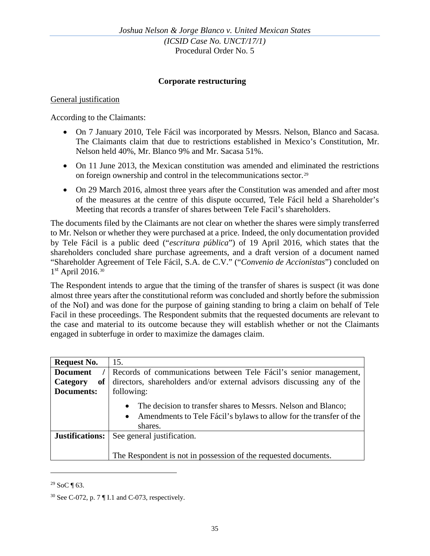#### **Corporate restructuring**

#### General justification

According to the Claimants:

- On 7 January 2010, Tele Fácil was incorporated by Messrs. Nelson, Blanco and Sacasa. The Claimants claim that due to restrictions established in Mexico's Constitution, Mr. Nelson held 40%, Mr. Blanco 9% and Mr. Sacasa 51%.
- On 11 June 2013, the Mexican constitution was amended and eliminated the restrictions on foreign ownership and control in the telecommunications sector.[29](#page-34-0)
- On 29 March 2016, almost three years after the Constitution was amended and after most of the measures at the centre of this dispute occurred, Tele Fácil held a Shareholder's Meeting that records a transfer of shares between Tele Facil's shareholders.

The documents filed by the Claimants are not clear on whether the shares were simply transferred to Mr. Nelson or whether they were purchased at a price. Indeed, the only documentation provided by Tele Fácil is a public deed ("*escritura pública*") of 19 April 2016, which states that the shareholders concluded share purchase agreements, and a draft version of a document named "Shareholder Agreement of Tele Fácil, S.A. de C.V." ("*Convenio de Accionistas*") concluded on  $1<sup>st</sup>$  April 2016.<sup>[30](#page-34-1)</sup>

The Respondent intends to argue that the timing of the transfer of shares is suspect (it was done almost three years after the constitutional reform was concluded and shortly before the submission of the NoI) and was done for the purpose of gaining standing to bring a claim on behalf of Tele Facil in these proceedings. The Respondent submits that the requested documents are relevant to the case and material to its outcome because they will establish whether or not the Claimants engaged in subterfuge in order to maximize the damages claim.

| <b>Request No.</b> | 15.                                                                                                                                              |
|--------------------|--------------------------------------------------------------------------------------------------------------------------------------------------|
| <b>Document</b>    | Records of communications between Tele Fácil's senior management,                                                                                |
| of<br>Category     | directors, shareholders and/or external advisors discussing any of the                                                                           |
| Documents:         | following:                                                                                                                                       |
|                    | The decision to transfer shares to Messrs. Nelson and Blanco;<br>• Amendments to Tele Fácil's bylaws to allow for the transfer of the<br>shares. |
| Justifications:    | See general justification.                                                                                                                       |
|                    | The Respondent is not in possession of the requested documents.                                                                                  |

<span id="page-34-0"></span> $29$  SoC ¶ 63.

<span id="page-34-1"></span><sup>30</sup> See C-072, p. 7 ¶ I.1 and C-073, respectively.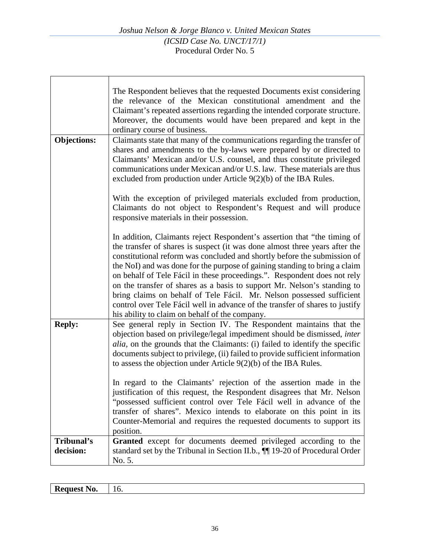$\Gamma$ 

|                         | The Respondent believes that the requested Documents exist considering<br>the relevance of the Mexican constitutional amendment and the<br>Claimant's repeated assertions regarding the intended corporate structure.<br>Moreover, the documents would have been prepared and kept in the<br>ordinary course of business.                                                                                                                                                                                                                                                                                                                                                            |
|-------------------------|--------------------------------------------------------------------------------------------------------------------------------------------------------------------------------------------------------------------------------------------------------------------------------------------------------------------------------------------------------------------------------------------------------------------------------------------------------------------------------------------------------------------------------------------------------------------------------------------------------------------------------------------------------------------------------------|
| <b>Objections:</b>      | Claimants state that many of the communications regarding the transfer of<br>shares and amendments to the by-laws were prepared by or directed to<br>Claimants' Mexican and/or U.S. counsel, and thus constitute privileged<br>communications under Mexican and/or U.S. law. These materials are thus<br>excluded from production under Article 9(2)(b) of the IBA Rules.                                                                                                                                                                                                                                                                                                            |
|                         | With the exception of privileged materials excluded from production,<br>Claimants do not object to Respondent's Request and will produce<br>responsive materials in their possession.                                                                                                                                                                                                                                                                                                                                                                                                                                                                                                |
|                         | In addition, Claimants reject Respondent's assertion that "the timing of<br>the transfer of shares is suspect (it was done almost three years after the<br>constitutional reform was concluded and shortly before the submission of<br>the NoI) and was done for the purpose of gaining standing to bring a claim<br>on behalf of Tele Fácil in these proceedings.". Respondent does not rely<br>on the transfer of shares as a basis to support Mr. Nelson's standing to<br>bring claims on behalf of Tele Fácil. Mr. Nelson possessed sufficient<br>control over Tele Fácil well in advance of the transfer of shares to justify<br>his ability to claim on behalf of the company. |
| <b>Reply:</b>           | See general reply in Section IV. The Respondent maintains that the<br>objection based on privilege/legal impediment should be dismissed, inter<br><i>alia</i> , on the grounds that the Claimants: (i) failed to identify the specific<br>documents subject to privilege, (ii) failed to provide sufficient information<br>to assess the objection under Article $9(2)(b)$ of the IBA Rules.                                                                                                                                                                                                                                                                                         |
|                         | In regard to the Claimants' rejection of the assertion made in the<br>justification of this request, the Respondent disagrees that Mr. Nelson<br>"possessed sufficient control over Tele Fácil well in advance of the<br>transfer of shares". Mexico intends to elaborate on this point in its<br>Counter-Memorial and requires the requested documents to support its<br>position.                                                                                                                                                                                                                                                                                                  |
| Tribunal's<br>decision: | Granted except for documents deemed privileged according to the<br>standard set by the Tribunal in Section II.b., $\P$ 19-20 of Procedural Order<br>No. 5.                                                                                                                                                                                                                                                                                                                                                                                                                                                                                                                           |

| . .<br>$\sim$<br><b>.</b> |  |
|---------------------------|--|
|                           |  |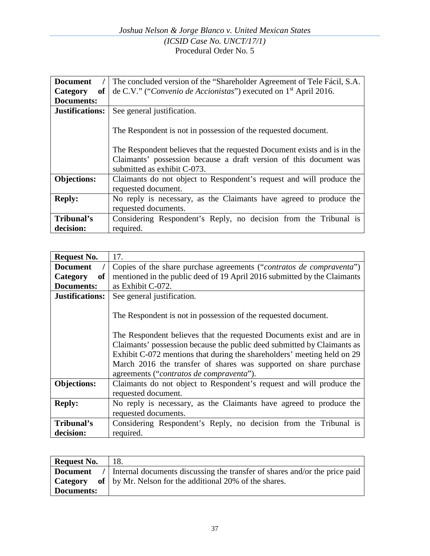| <b>Document</b>    | The concluded version of the "Shareholder Agreement of Tele Fácil, S.A.                                                                                                                                                                         |
|--------------------|-------------------------------------------------------------------------------------------------------------------------------------------------------------------------------------------------------------------------------------------------|
| Category<br>оf     | de C.V." ("Convenio de Accionistas") executed on 1 <sup>st</sup> April 2016.                                                                                                                                                                    |
| Documents:         |                                                                                                                                                                                                                                                 |
| Justifications:    | See general justification.                                                                                                                                                                                                                      |
|                    | The Respondent is not in possession of the requested document.<br>The Respondent believes that the requested Document exists and is in the<br>Claimants' possession because a draft version of this document was<br>submitted as exhibit C-073. |
| <b>Objections:</b> | Claimants do not object to Respondent's request and will produce the                                                                                                                                                                            |
|                    | requested document.                                                                                                                                                                                                                             |
| <b>Reply:</b>      | No reply is necessary, as the Claimants have agreed to produce the                                                                                                                                                                              |
|                    | requested documents.                                                                                                                                                                                                                            |
| Tribunal's         | Considering Respondent's Reply, no decision from the Tribunal is                                                                                                                                                                                |
| decision:          | required.                                                                                                                                                                                                                                       |

| <b>Request No.</b>     | 17.                                                                           |
|------------------------|-------------------------------------------------------------------------------|
| <b>Document</b>        | Copies of the share purchase agreements (" <i>contratos de compraventa</i> ") |
| Category<br>of         | mentioned in the public deed of 19 April 2016 submitted by the Claimants      |
| <b>Documents:</b>      | as Exhibit C-072.                                                             |
| <b>Justifications:</b> | See general justification.                                                    |
|                        | The Respondent is not in possession of the requested document.                |
|                        | The Respondent believes that the requested Documents exist and are in         |
|                        | Claimants' possession because the public deed submitted by Claimants as       |
|                        | Exhibit C-072 mentions that during the shareholders' meeting held on 29       |
|                        | March 2016 the transfer of shares was supported on share purchase             |
|                        | agreements ("contratos de compraventa").                                      |
| <b>Objections:</b>     | Claimants do not object to Respondent's request and will produce the          |
|                        | requested document.                                                           |
| <b>Reply:</b>          | No reply is necessary, as the Claimants have agreed to produce the            |
|                        | requested documents.                                                          |
| Tribunal's             | Considering Respondent's Reply, no decision from the Tribunal is              |
| decision:              | required.                                                                     |

| <b>Request No.</b> | 18.                                                                          |
|--------------------|------------------------------------------------------------------------------|
| <b>Document</b>    | / Internal documents discussing the transfer of shares and/or the price paid |
| Category           | of   by Mr. Nelson for the additional 20% of the shares.                     |
| <b>Documents:</b>  |                                                                              |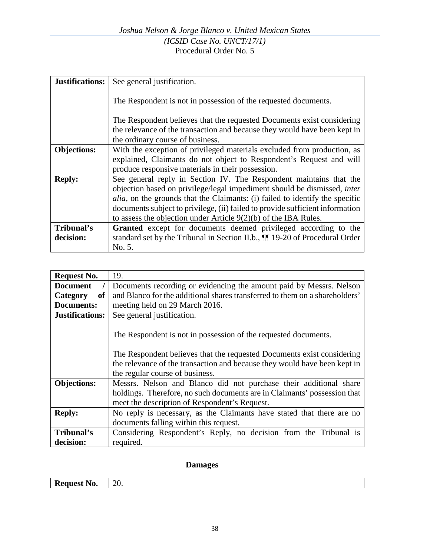| <b>Justifications:</b> | See general justification.                                                                                                                          |
|------------------------|-----------------------------------------------------------------------------------------------------------------------------------------------------|
|                        | The Respondent is not in possession of the requested documents.                                                                                     |
|                        | The Respondent believes that the requested Documents exist considering<br>the relevance of the transaction and because they would have been kept in |
|                        | the ordinary course of business.                                                                                                                    |
| <b>Objections:</b>     | With the exception of privileged materials excluded from production, as<br>explained, Claimants do not object to Respondent's Request and will      |
|                        | produce responsive materials in their possession.                                                                                                   |
| <b>Reply:</b>          | See general reply in Section IV. The Respondent maintains that the<br>objection based on privilege/legal impediment should be dismissed, inter      |
|                        | <i>alia</i> , on the grounds that the Claimants: (i) failed to identify the specific                                                                |
|                        | documents subject to privilege, (ii) failed to provide sufficient information                                                                       |
|                        | to assess the objection under Article $9(2)(b)$ of the IBA Rules.                                                                                   |
| Tribunal's             | Granted except for documents deemed privileged according to the                                                                                     |
| decision:              | standard set by the Tribunal in Section II.b., $\P$ 19-20 of Procedural Order                                                                       |
|                        | No. 5.                                                                                                                                              |

| <b>Request No.</b>     | 19.                                                                         |
|------------------------|-----------------------------------------------------------------------------|
| <b>Document</b>        | Documents recording or evidencing the amount paid by Messrs. Nelson         |
| Category<br>of         | and Blanco for the additional shares transferred to them on a shareholders' |
| Documents:             | meeting held on 29 March 2016.                                              |
| <b>Justifications:</b> | See general justification.                                                  |
|                        | The Respondent is not in possession of the requested documents.             |
|                        | The Respondent believes that the requested Documents exist considering      |
|                        | the relevance of the transaction and because they would have been kept in   |
|                        | the regular course of business.                                             |
| <b>Objections:</b>     | Messrs. Nelson and Blanco did not purchase their additional share           |
|                        | holdings. Therefore, no such documents are in Claimants' possession that    |
|                        | meet the description of Respondent's Request.                               |
| <b>Reply:</b>          | No reply is necessary, as the Claimants have stated that there are no       |
|                        | documents falling within this request.                                      |
| Tribunal's             | Considering Respondent's Reply, no decision from the Tribunal is            |
| decision:              | required.                                                                   |

# **Damages**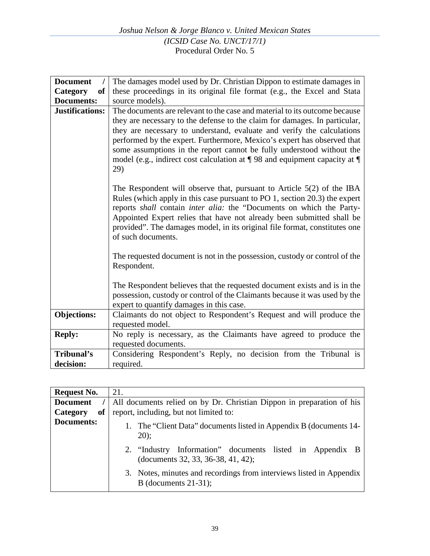| <b>Document</b>           | The damages model used by Dr. Christian Dippon to estimate damages in                                                                                                                                                                                                                                                                                                                                      |
|---------------------------|------------------------------------------------------------------------------------------------------------------------------------------------------------------------------------------------------------------------------------------------------------------------------------------------------------------------------------------------------------------------------------------------------------|
| <sub>of</sub><br>Category | these proceedings in its original file format (e.g., the Excel and Stata                                                                                                                                                                                                                                                                                                                                   |
| <b>Documents:</b>         | source models).                                                                                                                                                                                                                                                                                                                                                                                            |
| <b>Justifications:</b>    | The documents are relevant to the case and material to its outcome because                                                                                                                                                                                                                                                                                                                                 |
|                           | they are necessary to the defense to the claim for damages. In particular,<br>they are necessary to understand, evaluate and verify the calculations<br>performed by the expert. Furthermore, Mexico's expert has observed that<br>some assumptions in the report cannot be fully understood without the<br>model (e.g., indirect cost calculation at $\P$ 98 and equipment capacity at $\P$<br>29)        |
|                           | The Respondent will observe that, pursuant to Article $5(2)$ of the IBA<br>Rules (which apply in this case pursuant to PO 1, section 20.3) the expert<br>reports shall contain inter alia: the "Documents on which the Party-<br>Appointed Expert relies that have not already been submitted shall be<br>provided". The damages model, in its original file format, constitutes one<br>of such documents. |
|                           | The requested document is not in the possession, custody or control of the<br>Respondent.                                                                                                                                                                                                                                                                                                                  |
|                           | The Respondent believes that the requested document exists and is in the<br>possession, custody or control of the Claimants because it was used by the<br>expert to quantify damages in this case.                                                                                                                                                                                                         |
| <b>Objections:</b>        | Claimants do not object to Respondent's Request and will produce the<br>requested model.                                                                                                                                                                                                                                                                                                                   |
| <b>Reply:</b>             | No reply is necessary, as the Claimants have agreed to produce the<br>requested documents.                                                                                                                                                                                                                                                                                                                 |
| Tribunal's                | Considering Respondent's Reply, no decision from the Tribunal is                                                                                                                                                                                                                                                                                                                                           |
| decision:                 | required.                                                                                                                                                                                                                                                                                                                                                                                                  |

| <b>Request No.</b> | 21.                                                                                            |
|--------------------|------------------------------------------------------------------------------------------------|
| <b>Document</b>    | All documents relied on by Dr. Christian Dippon in preparation of his                          |
| of<br>Category     | report, including, but not limited to:                                                         |
| Documents:         | 1. The "Client Data" documents listed in Appendix B (documents 14-<br>20);                     |
|                    | 2. "Industry Information" documents listed in Appendix B<br>(documents 32, 33, 36-38, 41, 42); |
|                    | 3. Notes, minutes and recordings from interviews listed in Appendix<br>B (documents $21-31$ ); |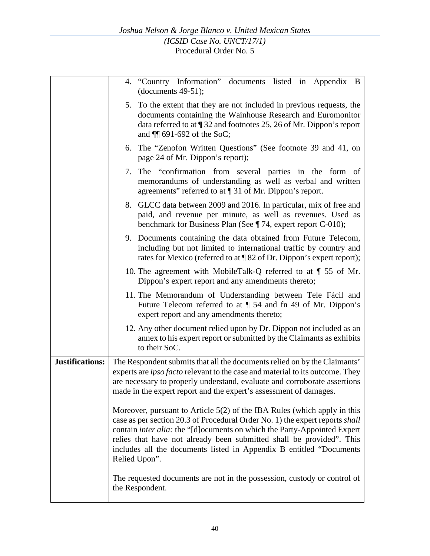|                        | 4. "Country Information" documents listed in Appendix B<br>(documents $49-51$ );                                                                                                                                                                                                                                                                                                                                |
|------------------------|-----------------------------------------------------------------------------------------------------------------------------------------------------------------------------------------------------------------------------------------------------------------------------------------------------------------------------------------------------------------------------------------------------------------|
|                        | 5. To the extent that they are not included in previous requests, the<br>documents containing the Wainhouse Research and Euromonitor<br>data referred to at 132 and footnotes 25, 26 of Mr. Dippon's report<br>and $\P$ 691-692 of the SoC;                                                                                                                                                                     |
|                        | 6. The "Zenofon Written Questions" (See footnote 39 and 41, on<br>page 24 of Mr. Dippon's report);                                                                                                                                                                                                                                                                                                              |
|                        | 7. The "confirmation from several parties in the form of<br>memorandums of understanding as well as verbal and written<br>agreements" referred to at ¶ 31 of Mr. Dippon's report.                                                                                                                                                                                                                               |
|                        | 8. GLCC data between 2009 and 2016. In particular, mix of free and<br>paid, and revenue per minute, as well as revenues. Used as<br>benchmark for Business Plan (See $\P$ 74, expert report C-010);                                                                                                                                                                                                             |
|                        | 9. Documents containing the data obtained from Future Telecom,<br>including but not limited to international traffic by country and<br>rates for Mexico (referred to at ¶ 82 of Dr. Dippon's expert report);                                                                                                                                                                                                    |
|                        | 10. The agreement with MobileTalk-Q referred to at $\parallel$ 55 of Mr.<br>Dippon's expert report and any amendments thereto;                                                                                                                                                                                                                                                                                  |
|                        | 11. The Memorandum of Understanding between Tele Fácil and<br>Future Telecom referred to at $\P$ 54 and fn 49 of Mr. Dippon's<br>expert report and any amendments thereto;                                                                                                                                                                                                                                      |
|                        | 12. Any other document relied upon by Dr. Dippon not included as an<br>annex to his expert report or submitted by the Claimants as exhibits<br>to their SoC.                                                                                                                                                                                                                                                    |
| <b>Justifications:</b> | The Respondent submits that all the documents relied on by the Claimants'<br>experts are <i>ipso facto</i> relevant to the case and material to its outcome. They<br>are necessary to properly understand, evaluate and corroborate assertions<br>made in the expert report and the expert's assessment of damages.                                                                                             |
|                        | Moreover, pursuant to Article $5(2)$ of the IBA Rules (which apply in this<br>case as per section 20.3 of Procedural Order No. 1) the expert reports shall<br>contain <i>inter alia</i> : the "[d] ocuments on which the Party-Appointed Expert<br>relies that have not already been submitted shall be provided". This<br>includes all the documents listed in Appendix B entitled "Documents<br>Relied Upon". |
|                        | The requested documents are not in the possession, custody or control of<br>the Respondent.                                                                                                                                                                                                                                                                                                                     |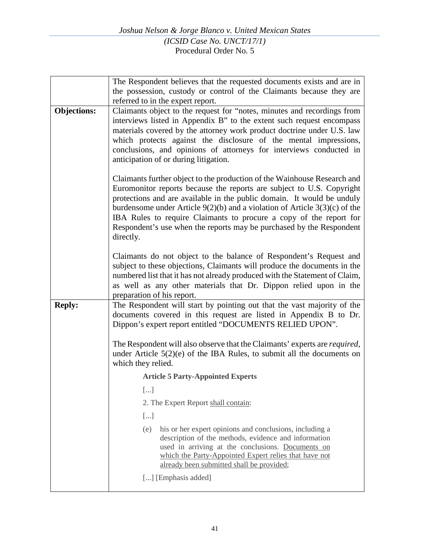|                    | The Respondent believes that the requested documents exists and are in                                                                                                                                                                                                                                                                                                                                                                                                   |
|--------------------|--------------------------------------------------------------------------------------------------------------------------------------------------------------------------------------------------------------------------------------------------------------------------------------------------------------------------------------------------------------------------------------------------------------------------------------------------------------------------|
|                    | the possession, custody or control of the Claimants because they are                                                                                                                                                                                                                                                                                                                                                                                                     |
| <b>Objections:</b> | referred to in the expert report.<br>Claimants object to the request for "notes, minutes and recordings from                                                                                                                                                                                                                                                                                                                                                             |
|                    | interviews listed in Appendix B" to the extent such request encompass<br>materials covered by the attorney work product doctrine under U.S. law<br>which protects against the disclosure of the mental impressions,<br>conclusions, and opinions of attorneys for interviews conducted in<br>anticipation of or during litigation.                                                                                                                                       |
|                    | Claimants further object to the production of the Wainhouse Research and<br>Euromonitor reports because the reports are subject to U.S. Copyright<br>protections and are available in the public domain. It would be unduly<br>burdensome under Article $9(2)(b)$ and a violation of Article $3(3)(c)$ of the<br>IBA Rules to require Claimants to procure a copy of the report for<br>Respondent's use when the reports may be purchased by the Respondent<br>directly. |
|                    | Claimants do not object to the balance of Respondent's Request and<br>subject to these objections, Claimants will produce the documents in the<br>numbered list that it has not already produced with the Statement of Claim,<br>as well as any other materials that Dr. Dippon relied upon in the<br>preparation of his report.                                                                                                                                         |
| <b>Reply:</b>      | The Respondent will start by pointing out that the vast majority of the<br>documents covered in this request are listed in Appendix B to Dr.<br>Dippon's expert report entitled "DOCUMENTS RELIED UPON".                                                                                                                                                                                                                                                                 |
|                    | The Respondent will also observe that the Claimants' experts are <i>required</i> ,<br>under Article $5(2)(e)$ of the IBA Rules, to submit all the documents on<br>which they relied.                                                                                                                                                                                                                                                                                     |
|                    | <b>Article 5 Party-Appointed Experts</b>                                                                                                                                                                                                                                                                                                                                                                                                                                 |
|                    | $\lfloor  \rfloor$                                                                                                                                                                                                                                                                                                                                                                                                                                                       |
|                    | 2. The Expert Report shall contain:                                                                                                                                                                                                                                                                                                                                                                                                                                      |
|                    | $[]$                                                                                                                                                                                                                                                                                                                                                                                                                                                                     |
|                    | his or her expert opinions and conclusions, including a<br>(e)<br>description of the methods, evidence and information<br>used in arriving at the conclusions. Documents on<br>which the Party-Appointed Expert relies that have not<br>already been submitted shall be provided;                                                                                                                                                                                        |
|                    | [] [Emphasis added]                                                                                                                                                                                                                                                                                                                                                                                                                                                      |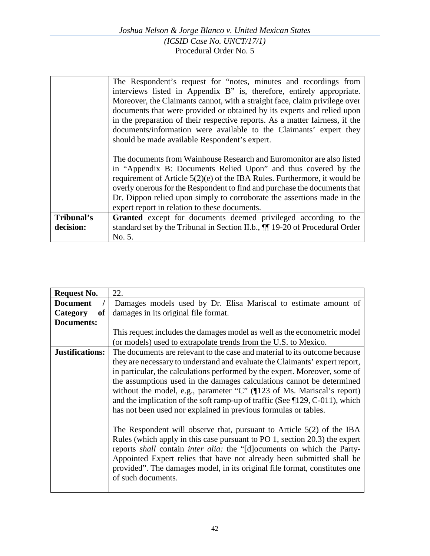|            | The Respondent's request for "notes, minutes and recordings from<br>interviews listed in Appendix B" is, therefore, entirely appropriate.<br>Moreover, the Claimants cannot, with a straight face, claim privilege over                                                                                                                                                                                                         |
|------------|---------------------------------------------------------------------------------------------------------------------------------------------------------------------------------------------------------------------------------------------------------------------------------------------------------------------------------------------------------------------------------------------------------------------------------|
|            | documents that were provided or obtained by its experts and relied upon<br>in the preparation of their respective reports. As a matter fairness, if the                                                                                                                                                                                                                                                                         |
|            | documents/information were available to the Claimants' expert they<br>should be made available Respondent's expert.                                                                                                                                                                                                                                                                                                             |
|            | The documents from Wainhouse Research and Euromonitor are also listed<br>in "Appendix B: Documents Relied Upon" and thus covered by the<br>requirement of Article $5(2)(e)$ of the IBA Rules. Furthermore, it would be<br>overly onerous for the Respondent to find and purchase the documents that<br>Dr. Dippon relied upon simply to corroborate the assertions made in the<br>expert report in relation to these documents. |
| Tribunal's | Granted except for documents deemed privileged according to the                                                                                                                                                                                                                                                                                                                                                                 |
| decision:  | standard set by the Tribunal in Section II.b., $\P$ 19-20 of Procedural Order                                                                                                                                                                                                                                                                                                                                                   |
|            | No. 5.                                                                                                                                                                                                                                                                                                                                                                                                                          |

| <b>Request No.</b>     | 22.                                                                                    |
|------------------------|----------------------------------------------------------------------------------------|
| <b>Document</b>        | Damages models used by Dr. Elisa Mariscal to estimate amount of                        |
| Category<br><b>of</b>  | damages in its original file format.                                                   |
| <b>Documents:</b>      |                                                                                        |
|                        | This request includes the damages model as well as the econometric model               |
|                        | (or models) used to extrapolate trends from the U.S. to Mexico.                        |
| <b>Justifications:</b> | The documents are relevant to the case and material to its outcome because             |
|                        | they are necessary to understand and evaluate the Claimants' expert report,            |
|                        | in particular, the calculations performed by the expert. Moreover, some of             |
|                        | the assumptions used in the damages calculations cannot be determined                  |
|                        | without the model, e.g., parameter "C" (¶123 of Ms. Mariscal's report)                 |
|                        | and the implication of the soft ramp-up of traffic (See $\P$ 129, C-011), which        |
|                        | has not been used nor explained in previous formulas or tables.                        |
|                        |                                                                                        |
|                        | The Respondent will observe that, pursuant to Article $5(2)$ of the IBA                |
|                        | Rules (which apply in this case pursuant to PO 1, section 20.3) the expert             |
|                        | reports <i>shall</i> contain <i>inter alia</i> : the "[d] ocuments on which the Party- |
|                        | Appointed Expert relies that have not already been submitted shall be                  |
|                        | provided". The damages model, in its original file format, constitutes one             |
|                        | of such documents.                                                                     |
|                        |                                                                                        |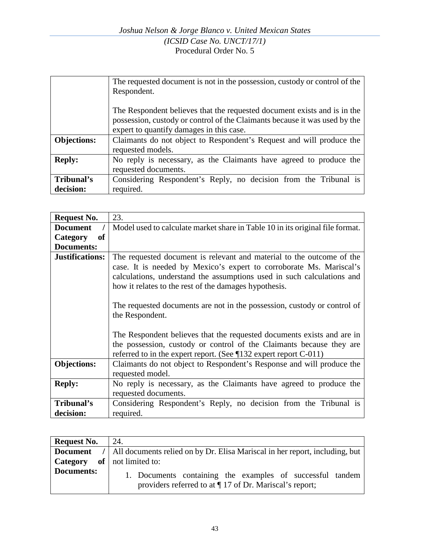|                    | The requested document is not in the possession, custody or control of the |
|--------------------|----------------------------------------------------------------------------|
|                    | Respondent.                                                                |
|                    |                                                                            |
|                    | The Respondent believes that the requested document exists and is in the   |
|                    | possession, custody or control of the Claimants because it was used by the |
|                    | expert to quantify damages in this case.                                   |
| <b>Objections:</b> | Claimants do not object to Respondent's Request and will produce the       |
|                    | requested models.                                                          |
| <b>Reply:</b>      | No reply is necessary, as the Claimants have agreed to produce the         |
|                    | requested documents.                                                       |
| Tribunal's         | Considering Respondent's Reply, no decision from the Tribunal is           |
| decision:          | required.                                                                  |

| Request No.            | 23.                                                                                                                                                                                                                                                                                                                                                                                                                                                                                                                                                                                                      |
|------------------------|----------------------------------------------------------------------------------------------------------------------------------------------------------------------------------------------------------------------------------------------------------------------------------------------------------------------------------------------------------------------------------------------------------------------------------------------------------------------------------------------------------------------------------------------------------------------------------------------------------|
| <b>Document</b>        | Model used to calculate market share in Table 10 in its original file format.                                                                                                                                                                                                                                                                                                                                                                                                                                                                                                                            |
| Category<br>of         |                                                                                                                                                                                                                                                                                                                                                                                                                                                                                                                                                                                                          |
| Documents:             |                                                                                                                                                                                                                                                                                                                                                                                                                                                                                                                                                                                                          |
| <b>Justifications:</b> | The requested document is relevant and material to the outcome of the<br>case. It is needed by Mexico's expert to corroborate Ms. Mariscal's<br>calculations, understand the assumptions used in such calculations and<br>how it relates to the rest of the damages hypothesis.<br>The requested documents are not in the possession, custody or control of<br>the Respondent.<br>The Respondent believes that the requested documents exists and are in<br>the possession, custody or control of the Claimants because they are<br>referred to in the expert report. (See $\P$ 132 expert report C-011) |
| <b>Objections:</b>     | Claimants do not object to Respondent's Response and will produce the<br>requested model.                                                                                                                                                                                                                                                                                                                                                                                                                                                                                                                |
| <b>Reply:</b>          | No reply is necessary, as the Claimants have agreed to produce the<br>requested documents.                                                                                                                                                                                                                                                                                                                                                                                                                                                                                                               |
| Tribunal's             | Considering Respondent's Reply, no decision from the Tribunal is                                                                                                                                                                                                                                                                                                                                                                                                                                                                                                                                         |
| decision:              | required.                                                                                                                                                                                                                                                                                                                                                                                                                                                                                                                                                                                                |

| <b>Request No.</b> | 24.                                                                                                                     |
|--------------------|-------------------------------------------------------------------------------------------------------------------------|
|                    | <b>Document</b> /   All documents relied on by Dr. Elisa Mariscal in her report, including, but                         |
| Category           | of $\vert$ not limited to:                                                                                              |
| Documents:         | 1. Documents containing the examples of successful tandem<br>providers referred to at $\P$ 17 of Dr. Mariscal's report; |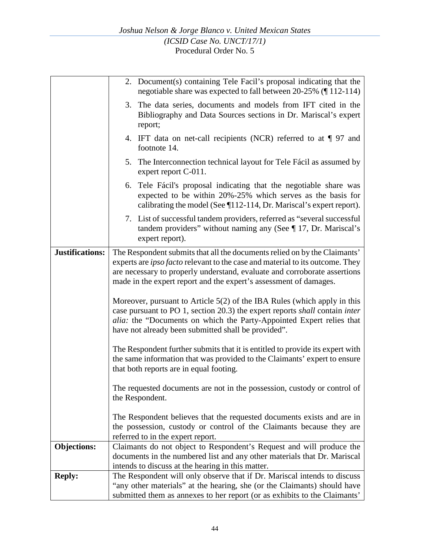|                    | 2. Document(s) containing Tele Facil's proposal indicating that the<br>negotiable share was expected to fall between 20-25% (¶112-114)                                                                                                                                                                              |
|--------------------|---------------------------------------------------------------------------------------------------------------------------------------------------------------------------------------------------------------------------------------------------------------------------------------------------------------------|
|                    | 3. The data series, documents and models from IFT cited in the<br>Bibliography and Data Sources sections in Dr. Mariscal's expert<br>report;                                                                                                                                                                        |
|                    | 4. IFT data on net-call recipients (NCR) referred to at ¶ 97 and<br>footnote 14.                                                                                                                                                                                                                                    |
|                    | 5. The Interconnection technical layout for Tele Fácil as assumed by<br>expert report C-011.                                                                                                                                                                                                                        |
|                    | 6. Tele Fácil's proposal indicating that the negotiable share was<br>expected to be within 20%-25% which serves as the basis for<br>calibrating the model (See ¶112-114, Dr. Mariscal's expert report).                                                                                                             |
|                    | 7. List of successful tandem providers, referred as "several successful"<br>tandem providers" without naming any (See $\P$ 17, Dr. Mariscal's<br>expert report).                                                                                                                                                    |
| Justifications:    | The Respondent submits that all the documents relied on by the Claimants'<br>experts are <i>ipso facto</i> relevant to the case and material to its outcome. They<br>are necessary to properly understand, evaluate and corroborate assertions<br>made in the expert report and the expert's assessment of damages. |
|                    | Moreover, pursuant to Article $5(2)$ of the IBA Rules (which apply in this<br>case pursuant to PO 1, section 20.3) the expert reports shall contain inter<br><i>alia:</i> the "Documents on which the Party-Appointed Expert relies that<br>have not already been submitted shall be provided".                     |
|                    | The Respondent further submits that it is entitled to provide its expert with<br>the same information that was provided to the Claimants' expert to ensure<br>that both reports are in equal footing.                                                                                                               |
|                    | The requested documents are not in the possession, custody or control of<br>the Respondent.                                                                                                                                                                                                                         |
|                    | The Respondent believes that the requested documents exists and are in<br>the possession, custody or control of the Claimants because they are<br>referred to in the expert report.                                                                                                                                 |
| <b>Objections:</b> | Claimants do not object to Respondent's Request and will produce the<br>documents in the numbered list and any other materials that Dr. Mariscal<br>intends to discuss at the hearing in this matter.                                                                                                               |
| <b>Reply:</b>      | The Respondent will only observe that if Dr. Mariscal intends to discuss<br>"any other materials" at the hearing, she (or the Claimants) should have<br>submitted them as annexes to her report (or as exhibits to the Claimants'                                                                                   |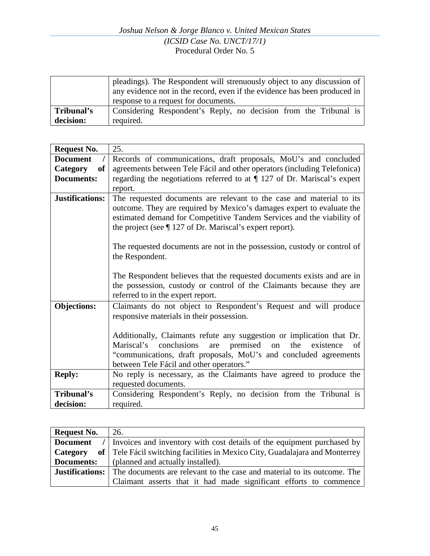|            | pleadings). The Respondent will strenuously object to any discussion of<br>any evidence not in the record, even if the evidence has been produced in<br>response to a request for documents. |
|------------|----------------------------------------------------------------------------------------------------------------------------------------------------------------------------------------------|
| Tribunal's | Considering Respondent's Reply, no decision from the Tribunal is                                                                                                                             |
| decision:  | required.                                                                                                                                                                                    |

| <b>Request No.</b>          | 25.                                                                         |
|-----------------------------|-----------------------------------------------------------------------------|
| <b>Document</b><br>$\prime$ | Records of communications, draft proposals, MoU's and concluded             |
| of<br><b>Category</b>       | agreements between Tele Fácil and other operators (including Telefonica)    |
| <b>Documents:</b>           | regarding the negotiations referred to at $\P$ 127 of Dr. Mariscal's expert |
|                             | report.                                                                     |
|                             |                                                                             |
| <b>Justifications:</b>      | The requested documents are relevant to the case and material to its        |
|                             | outcome. They are required by Mexico's damages expert to evaluate the       |
|                             | estimated demand for Competitive Tandem Services and the viability of       |
|                             | the project (see $\P$ 127 of Dr. Mariscal's expert report).                 |
|                             |                                                                             |
|                             | The requested documents are not in the possession, custody or control of    |
|                             | the Respondent.                                                             |
|                             |                                                                             |
|                             | The Respondent believes that the requested documents exists and are in      |
|                             | the possession, custody or control of the Claimants because they are        |
|                             |                                                                             |
|                             | referred to in the expert report.                                           |
| <b>Objections:</b>          | Claimants do not object to Respondent's Request and will produce            |
|                             | responsive materials in their possession.                                   |
|                             |                                                                             |
|                             | Additionally, Claimants refute any suggestion or implication that Dr.       |
|                             | Mariscal's conclusions<br>premised on<br>the<br>are<br>existence<br>of      |
|                             | "communications, draft proposals, MoU's and concluded agreements            |
|                             | between Tele Fácil and other operators."                                    |
| <b>Reply:</b>               | No reply is necessary, as the Claimants have agreed to produce the          |
|                             | requested documents.                                                        |
|                             |                                                                             |
| Tribunal's                  | Considering Respondent's Reply, no decision from the Tribunal is            |
| decision:                   | required.                                                                   |

| <b>Request No.</b> | 26.                                                                                            |
|--------------------|------------------------------------------------------------------------------------------------|
| <b>Document</b>    | / Invoices and inventory with cost details of the equipment purchased by                       |
| Category           | of   Tele Fácil switching facilities in Mexico City, Guadalajara and Monterrey                 |
| Documents:         | (planned and actually installed).                                                              |
|                    | <b>Justifications:</b> The documents are relevant to the case and material to its outcome. The |
|                    | Claimant asserts that it had made significant efforts to commence                              |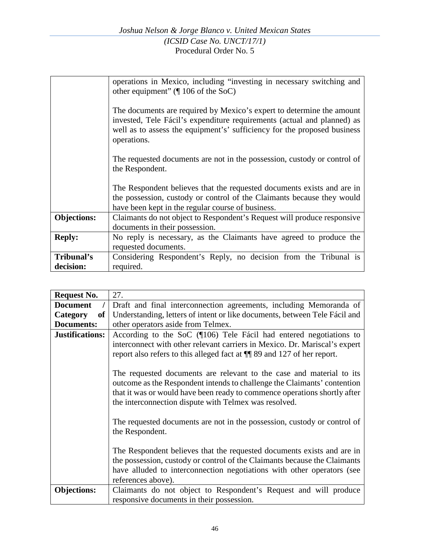|                         | operations in Mexico, including "investing in necessary switching and<br>other equipment" $(\P 106 \text{ of the SoC})$                                                                                                                     |
|-------------------------|---------------------------------------------------------------------------------------------------------------------------------------------------------------------------------------------------------------------------------------------|
|                         | The documents are required by Mexico's expert to determine the amount<br>invested, Tele Fácil's expenditure requirements (actual and planned) as<br>well as to assess the equipment's' sufficiency for the proposed business<br>operations. |
|                         | The requested documents are not in the possession, custody or control of<br>the Respondent.                                                                                                                                                 |
|                         | The Respondent believes that the requested documents exists and are in<br>the possession, custody or control of the Claimants because they would<br>have been kept in the regular course of business.                                       |
| <b>Objections:</b>      | Claimants do not object to Respondent's Request will produce responsive<br>documents in their possession.                                                                                                                                   |
| <b>Reply:</b>           | No reply is necessary, as the Claimants have agreed to produce the<br>requested documents.                                                                                                                                                  |
| Tribunal's<br>decision: | Considering Respondent's Reply, no decision from the Tribunal is<br>required.                                                                                                                                                               |

| <b>Request No.</b>     | 27.                                                                        |
|------------------------|----------------------------------------------------------------------------|
| <b>Document</b>        | Draft and final interconnection agreements, including Memoranda of         |
| Category<br>of         | Understanding, letters of intent or like documents, between Tele Fácil and |
| Documents:             | other operators aside from Telmex.                                         |
| <b>Justifications:</b> | According to the SoC (106) Tele Fácil had entered negotiations to          |
|                        | interconnect with other relevant carriers in Mexico. Dr. Mariscal's expert |
|                        | report also refers to this alleged fact at $\P$ 89 and 127 of her report.  |
|                        |                                                                            |
|                        | The requested documents are relevant to the case and material to its       |
|                        | outcome as the Respondent intends to challenge the Claimants' contention   |
|                        | that it was or would have been ready to commence operations shortly after  |
|                        | the interconnection dispute with Telmex was resolved.                      |
|                        |                                                                            |
|                        | The requested documents are not in the possession, custody or control of   |
|                        | the Respondent.                                                            |
|                        |                                                                            |
|                        | The Respondent believes that the requested documents exists and are in     |
|                        | the possession, custody or control of the Claimants because the Claimants  |
|                        | have alluded to interconnection negotiations with other operators (see     |
|                        | references above).                                                         |
| <b>Objections:</b>     | Claimants do not object to Respondent's Request and will produce           |
|                        | responsive documents in their possession.                                  |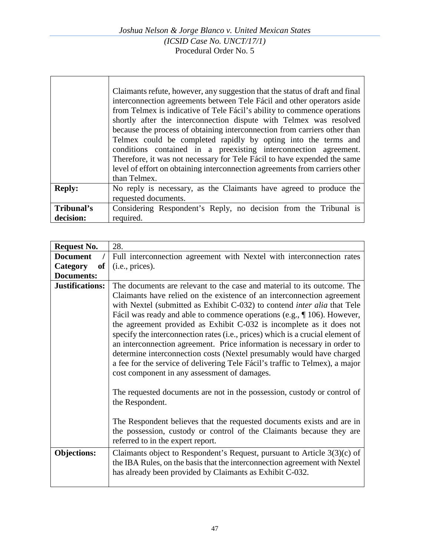|               | Claimants refute, however, any suggestion that the status of draft and final<br>interconnection agreements between Tele Fácil and other operators aside<br>from Telmex is indicative of Tele Fácil's ability to commence operations<br>shortly after the interconnection dispute with Telmex was resolved<br>because the process of obtaining interconnection from carriers other than<br>Telmex could be completed rapidly by opting into the terms and<br>conditions contained in a preexisting interconnection agreement.<br>Therefore, it was not necessary for Tele Fácil to have expended the same<br>level of effort on obtaining interconnection agreements from carriers other<br>than Telmex. |
|---------------|---------------------------------------------------------------------------------------------------------------------------------------------------------------------------------------------------------------------------------------------------------------------------------------------------------------------------------------------------------------------------------------------------------------------------------------------------------------------------------------------------------------------------------------------------------------------------------------------------------------------------------------------------------------------------------------------------------|
| <b>Reply:</b> | No reply is necessary, as the Claimants have agreed to produce the<br>requested documents.                                                                                                                                                                                                                                                                                                                                                                                                                                                                                                                                                                                                              |
|               |                                                                                                                                                                                                                                                                                                                                                                                                                                                                                                                                                                                                                                                                                                         |
| Tribunal's    | Considering Respondent's Reply, no decision from the Tribunal is                                                                                                                                                                                                                                                                                                                                                                                                                                                                                                                                                                                                                                        |
| decision:     | required.                                                                                                                                                                                                                                                                                                                                                                                                                                                                                                                                                                                                                                                                                               |

| <b>Request No.</b>     | 28.                                                                                                                                                                                                                                                                                                                                                                                                                                                                                                                                                                                                                                                                                                                                                                                                                                                              |
|------------------------|------------------------------------------------------------------------------------------------------------------------------------------------------------------------------------------------------------------------------------------------------------------------------------------------------------------------------------------------------------------------------------------------------------------------------------------------------------------------------------------------------------------------------------------------------------------------------------------------------------------------------------------------------------------------------------------------------------------------------------------------------------------------------------------------------------------------------------------------------------------|
| <b>Document</b>        | Full interconnection agreement with Nextel with interconnection rates                                                                                                                                                                                                                                                                                                                                                                                                                                                                                                                                                                                                                                                                                                                                                                                            |
| of<br>Category         | (i.e., prices).                                                                                                                                                                                                                                                                                                                                                                                                                                                                                                                                                                                                                                                                                                                                                                                                                                                  |
| <b>Documents:</b>      |                                                                                                                                                                                                                                                                                                                                                                                                                                                                                                                                                                                                                                                                                                                                                                                                                                                                  |
| <b>Justifications:</b> | The documents are relevant to the case and material to its outcome. The<br>Claimants have relied on the existence of an interconnection agreement<br>with Nextel (submitted as Exhibit C-032) to contend <i>inter alia</i> that Tele<br>Fácil was ready and able to commence operations (e.g., $\P$ 106). However,<br>the agreement provided as Exhibit C-032 is incomplete as it does not<br>specify the interconnection rates (i.e., prices) which is a crucial element of<br>an interconnection agreement. Price information is necessary in order to<br>determine interconnection costs (Nextel presumably would have charged<br>a fee for the service of delivering Tele Fácil's traffic to Telmex), a major<br>cost component in any assessment of damages.<br>The requested documents are not in the possession, custody or control of<br>the Respondent. |
|                        | The Respondent believes that the requested documents exists and are in<br>the possession, custody or control of the Claimants because they are<br>referred to in the expert report.                                                                                                                                                                                                                                                                                                                                                                                                                                                                                                                                                                                                                                                                              |
| <b>Objections:</b>     | Claimants object to Respondent's Request, pursuant to Article 3(3)(c) of<br>the IBA Rules, on the basis that the interconnection agreement with Nextel<br>has already been provided by Claimants as Exhibit C-032.                                                                                                                                                                                                                                                                                                                                                                                                                                                                                                                                                                                                                                               |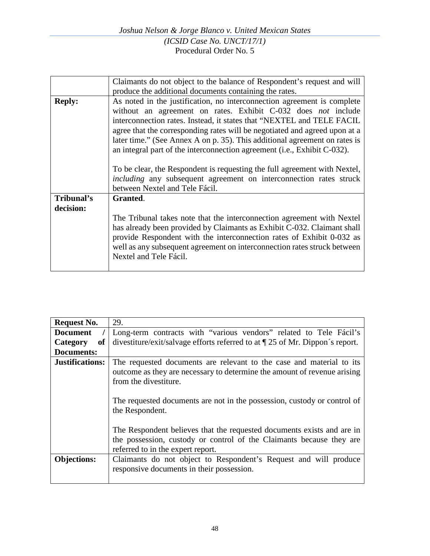|               | Claimants do not object to the balance of Respondent's request and will                                                                                                                                                                                                                                                                                                                                                                                                                                                                                                                                             |
|---------------|---------------------------------------------------------------------------------------------------------------------------------------------------------------------------------------------------------------------------------------------------------------------------------------------------------------------------------------------------------------------------------------------------------------------------------------------------------------------------------------------------------------------------------------------------------------------------------------------------------------------|
|               | produce the additional documents containing the rates.                                                                                                                                                                                                                                                                                                                                                                                                                                                                                                                                                              |
| <b>Reply:</b> | As noted in the justification, no interconnection agreement is complete<br>without an agreement on rates. Exhibit C-032 does not include<br>interconnection rates. Instead, it states that "NEXTEL and TELE FACIL<br>agree that the corresponding rates will be negotiated and agreed upon at a<br>later time." (See Annex A on p. 35). This additional agreement on rates is<br>an integral part of the interconnection agreement (i.e., Exhibit C-032).<br>To be clear, the Respondent is requesting the full agreement with Nextel,<br><i>including</i> any subsequent agreement on interconnection rates struck |
|               | between Nextel and Tele Fácil.                                                                                                                                                                                                                                                                                                                                                                                                                                                                                                                                                                                      |
| Tribunal's    | Granted.                                                                                                                                                                                                                                                                                                                                                                                                                                                                                                                                                                                                            |
| decision:     |                                                                                                                                                                                                                                                                                                                                                                                                                                                                                                                                                                                                                     |
|               | The Tribunal takes note that the interconnection agreement with Nextel<br>has already been provided by Claimants as Exhibit C-032. Claimant shall<br>provide Respondent with the interconnection rates of Exhibit 0-032 as<br>well as any subsequent agreement on interconnection rates struck between<br>Nextel and Tele Fácil.                                                                                                                                                                                                                                                                                    |

| <b>Request No.</b>     | 29.                                                                                                                                                                                                                                                                      |
|------------------------|--------------------------------------------------------------------------------------------------------------------------------------------------------------------------------------------------------------------------------------------------------------------------|
| <b>Document</b>        | Long-term contracts with "various vendors" related to Tele Fácil's                                                                                                                                                                                                       |
| Category<br><b>of</b>  | divestiture/exit/salvage efforts referred to at $\P$ 25 of Mr. Dippon's report.                                                                                                                                                                                          |
| Documents:             |                                                                                                                                                                                                                                                                          |
| <b>Justifications:</b> | The requested documents are relevant to the case and material to its<br>outcome as they are necessary to determine the amount of revenue arising<br>from the divestiture.<br>The requested documents are not in the possession, custody or control of<br>the Respondent. |
|                        | The Respondent believes that the requested documents exists and are in<br>the possession, custody or control of the Claimants because they are<br>referred to in the expert report.                                                                                      |
| <b>Objections:</b>     | Claimants do not object to Respondent's Request and will produce<br>responsive documents in their possession.                                                                                                                                                            |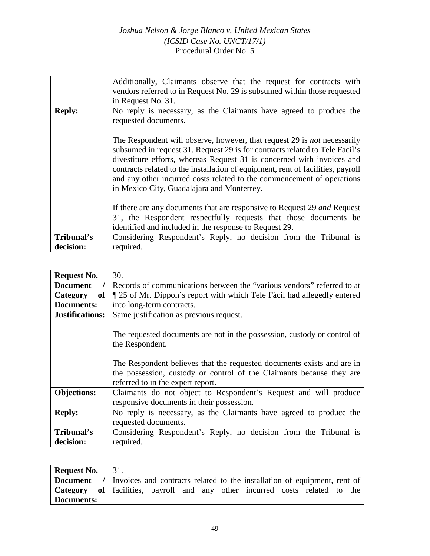|               | Additionally, Claimants observe that the request for contracts with                                                                                                                                                                                                                                                                                                                                                                                 |
|---------------|-----------------------------------------------------------------------------------------------------------------------------------------------------------------------------------------------------------------------------------------------------------------------------------------------------------------------------------------------------------------------------------------------------------------------------------------------------|
|               | vendors referred to in Request No. 29 is subsumed within those requested                                                                                                                                                                                                                                                                                                                                                                            |
|               | in Request No. 31.                                                                                                                                                                                                                                                                                                                                                                                                                                  |
| <b>Reply:</b> | No reply is necessary, as the Claimants have agreed to produce the<br>requested documents.                                                                                                                                                                                                                                                                                                                                                          |
|               | The Respondent will observe, however, that request 29 is <i>not</i> necessarily<br>subsumed in request 31. Request 29 is for contracts related to Tele Facil's<br>divestiture efforts, whereas Request 31 is concerned with invoices and<br>contracts related to the installation of equipment, rent of facilities, payroll<br>and any other incurred costs related to the commencement of operations<br>in Mexico City, Guadalajara and Monterrey. |
|               | If there are any documents that are responsive to Request 29 and Request                                                                                                                                                                                                                                                                                                                                                                            |
|               | 31, the Respondent respectfully requests that those documents be                                                                                                                                                                                                                                                                                                                                                                                    |
|               | identified and included in the response to Request 29.                                                                                                                                                                                                                                                                                                                                                                                              |
| Tribunal's    | Considering Respondent's Reply, no decision from the Tribunal is                                                                                                                                                                                                                                                                                                                                                                                    |
| decision:     | required.                                                                                                                                                                                                                                                                                                                                                                                                                                           |

| <b>Request No.</b>      | 30.                                                                                                                                                                   |
|-------------------------|-----------------------------------------------------------------------------------------------------------------------------------------------------------------------|
| <b>Document</b>         | Records of communications between the "various vendors" referred to at                                                                                                |
| Category<br>of          | If 25 of Mr. Dippon's report with which Tele Fácil had allegedly entered                                                                                              |
| Documents:              | into long-term contracts.                                                                                                                                             |
| Justifications:         | Same justification as previous request.                                                                                                                               |
|                         | The requested documents are not in the possession, custody or control of<br>the Respondent.<br>The Respondent believes that the requested documents exists and are in |
|                         | the possession, custody or control of the Claimants because they are<br>referred to in the expert report.                                                             |
| <b>Objections:</b>      | Claimants do not object to Respondent's Request and will produce<br>responsive documents in their possession.                                                         |
| <b>Reply:</b>           | No reply is necessary, as the Claimants have agreed to produce the<br>requested documents.                                                                            |
| Tribunal's<br>decision: | Considering Respondent's Reply, no decision from the Tribunal is<br>required.                                                                                         |

| Request No. $\vert$ 31. |                                                                                            |
|-------------------------|--------------------------------------------------------------------------------------------|
|                         | <b>Document</b> / Invoices and contracts related to the installation of equipment, rent of |
|                         | <b>Category</b> of facilities, payroll and any other incurred costs related to the         |
| Documents:              |                                                                                            |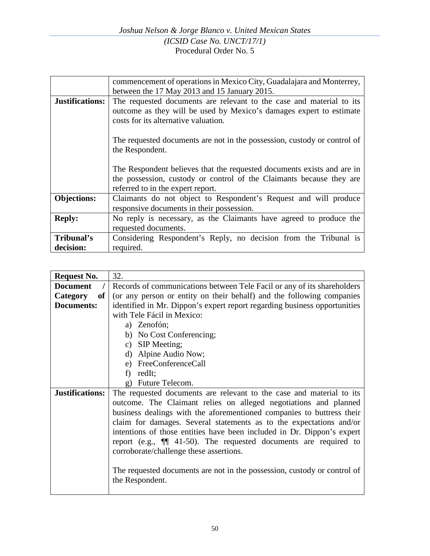|                        | commencement of operations in Mexico City, Guadalajara and Monterrey,    |
|------------------------|--------------------------------------------------------------------------|
|                        | between the 17 May 2013 and 15 January 2015.                             |
| <b>Justifications:</b> | The requested documents are relevant to the case and material to its     |
|                        | outcome as they will be used by Mexico's damages expert to estimate      |
|                        | costs for its alternative valuation.                                     |
|                        |                                                                          |
|                        | The requested documents are not in the possession, custody or control of |
|                        | the Respondent.                                                          |
|                        |                                                                          |
|                        | The Respondent believes that the requested documents exists and are in   |
|                        | the possession, custody or control of the Claimants because they are     |
|                        | referred to in the expert report.                                        |
| <b>Objections:</b>     | Claimants do not object to Respondent's Request and will produce         |
|                        | responsive documents in their possession.                                |
| <b>Reply:</b>          | No reply is necessary, as the Claimants have agreed to produce the       |
|                        | requested documents.                                                     |
| Tribunal's             | Considering Respondent's Reply, no decision from the Tribunal is         |
| decision:              | required.                                                                |

| <b>Request No.</b>          | 32.                                                                       |
|-----------------------------|---------------------------------------------------------------------------|
| <b>Document</b>             | Records of communications between Tele Facil or any of its shareholders   |
| Category<br>of <sub>1</sub> | (or any person or entity on their behalf) and the following companies     |
| <b>Documents:</b>           | identified in Mr. Dippon's expert report regarding business opportunities |
|                             | with Tele Fácil in Mexico:                                                |
|                             | a) Zenofón;                                                               |
|                             | b) No Cost Conferencing;                                                  |
|                             | c) SIP Meeting;                                                           |
|                             | d) Alpine Audio Now;                                                      |
|                             | e) FreeConferenceCall                                                     |
|                             | redIt;<br>f                                                               |
|                             | g) Future Telecom.                                                        |
| Justifications:             | The requested documents are relevant to the case and material to its      |
|                             | outcome. The Claimant relies on alleged negotiations and planned          |
|                             | business dealings with the aforementioned companies to buttress their     |
|                             | claim for damages. Several statements as to the expectations and/or       |
|                             | intentions of those entities have been included in Dr. Dippon's expert    |
|                             | report (e.g., $\P$ 41-50). The requested documents are required to        |
|                             | corroborate/challenge these assertions.                                   |
|                             |                                                                           |
|                             | The requested documents are not in the possession, custody or control of  |
|                             | the Respondent.                                                           |
|                             |                                                                           |